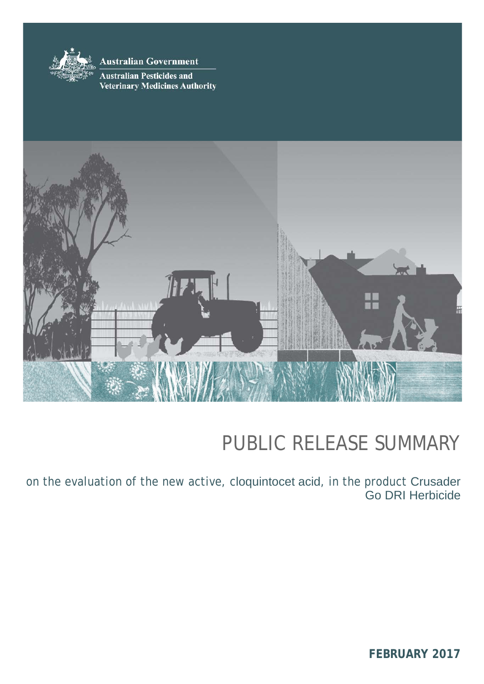

**Australian Government** 

**Australian Pesticides and Veterinary Medicines Authority** 



# PUBLIC RELEASE SUMMARY

on the evaluation of the new active, cloquintocet acid*,* in the product Crusader Go DRI Herbicide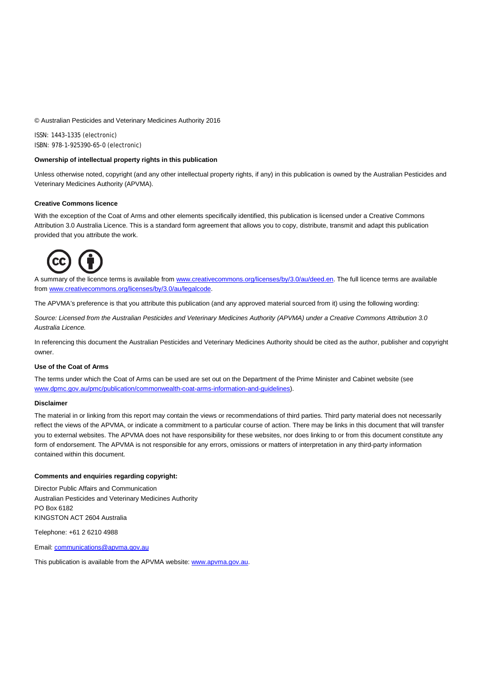© Australian Pesticides and Veterinary Medicines Authority 2016

ISSN: 1443–1335 (electronic) ISBN: 978-1-925390-65-0 (electronic)

#### **Ownership of intellectual property rights in this publication**

Unless otherwise noted, copyright (and any other intellectual property rights, if any) in this publication is owned by the Australian Pesticides and Veterinary Medicines Authority (APVMA).

#### **Creative Commons licence**

With the exception of the Coat of Arms and other elements specifically identified, this publication is licensed under a Creative Commons Attribution 3.0 Australia Licence. This is a standard form agreement that allows you to copy, distribute, transmit and adapt this publication provided that you attribute the work.



A summary of the licence terms is available from [www.creativecommons.org/licenses/by/3.0/au/deed.en.](http://www.creativecommons.org/licenses/by/3.0/au/deed.en) The full licence terms are available fro[m www.creativecommons.org/licenses/by/3.0/au/legalcode.](http://www.creativecommons.org/licenses/by/3.0/au/legalcode)

The APVMA's preference is that you attribute this publication (and any approved material sourced from it) using the following wording:

*Source: Licensed from the Australian Pesticides and Veterinary Medicines Authority (APVMA) under a Creative Commons Attribution 3.0 Australia Licence.* 

In referencing this document the Australian Pesticides and Veterinary Medicines Authority should be cited as the author, publisher and copyright owner.

#### **Use of the Coat of Arms**

The terms under which the Coat of Arms can be used are set out on the Department of the Prime Minister and Cabinet website (see [www.dpmc.gov.au/pmc/publication/commonwealth-coat-arms-information-and-guidelines\)](http://www.dpmc.gov.au/pmc/publication/commonwealth-coat-arms-information-and-guidelines).

#### **Disclaimer**

The material in or linking from this report may contain the views or recommendations of third parties. Third party material does not necessarily reflect the views of the APVMA, or indicate a commitment to a particular course of action. There may be links in this document that will transfer you to external websites. The APVMA does not have responsibility for these websites, nor does linking to or from this document constitute any form of endorsement. The APVMA is not responsible for any errors, omissions or matters of interpretation in any third-party information contained within this document.

#### **Comments and enquiries regarding copyright:**

Director Public Affairs and Communication Australian Pesticides and Veterinary Medicines Authority PO Box 6182 KINGSTON ACT 2604 Australia

Telephone: +61 2 6210 4988

Email: [communications@apvma.gov.au](mailto:communications@apvma.gov.au)

This publication is available from the APVMA website[: www.apvma.gov.au.](http://www.apvma.gov.au/)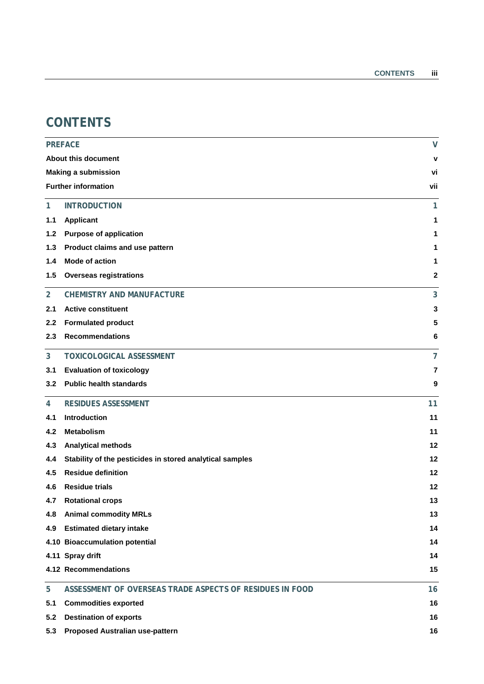# **CONTENTS**

|                  | <b>PREFACE</b>                                           | $\mathsf{V}$   |
|------------------|----------------------------------------------------------|----------------|
|                  | <b>About this document</b>                               | v              |
|                  | <b>Making a submission</b>                               | vi             |
|                  | <b>Further information</b>                               | vii            |
| 1                | <b>INTRODUCTION</b>                                      | 1              |
| 1.1              | Applicant                                                | 1              |
| 1.2              | <b>Purpose of application</b>                            | 1              |
| 1.3              | Product claims and use pattern                           | 1              |
| 1.4              | <b>Mode of action</b>                                    | 1              |
| 1.5              | <b>Overseas registrations</b>                            | $\mathbf 2$    |
| $\overline{2}$   | <b>CHEMISTRY AND MANUFACTURE</b>                         | 3              |
| 2.1              | <b>Active constituent</b>                                | 3              |
| $2.2\phantom{0}$ | <b>Formulated product</b>                                | 5              |
| 2.3              | <b>Recommendations</b>                                   | 6              |
| 3                | <b>TOXICOLOGICAL ASSESSMENT</b>                          | $\overline{7}$ |
| 3.1              | <b>Evaluation of toxicology</b>                          | 7              |
| 3.2              | <b>Public health standards</b>                           | 9              |
| 4                | <b>RESIDUES ASSESSMENT</b>                               | 11             |
| 4.1              | Introduction                                             | 11             |
| 4.2              | <b>Metabolism</b>                                        | 11             |
| 4.3              | <b>Analytical methods</b>                                | 12             |
| 4.4              | Stability of the pesticides in stored analytical samples | 12             |
| 4.5              | <b>Residue definition</b>                                | 12             |
| 4.6              | <b>Residue trials</b>                                    | 12             |
|                  | 4.7 Rotational crops                                     | 13             |
| 4.8              | <b>Animal commodity MRLs</b>                             | 13             |
| 4.9              | <b>Estimated dietary intake</b>                          | 14             |
|                  | 4.10 Bioaccumulation potential                           | 14             |
|                  | 4.11 Spray drift                                         | 14             |
|                  | 4.12 Recommendations                                     | 15             |
| 5                | ASSESSMENT OF OVERSEAS TRADE ASPECTS OF RESIDUES IN FOOD | 16             |
| 5.1              | <b>Commodities exported</b>                              | 16             |
| 5.2              | <b>Destination of exports</b>                            | 16             |
| 5.3              | Proposed Australian use-pattern                          | 16             |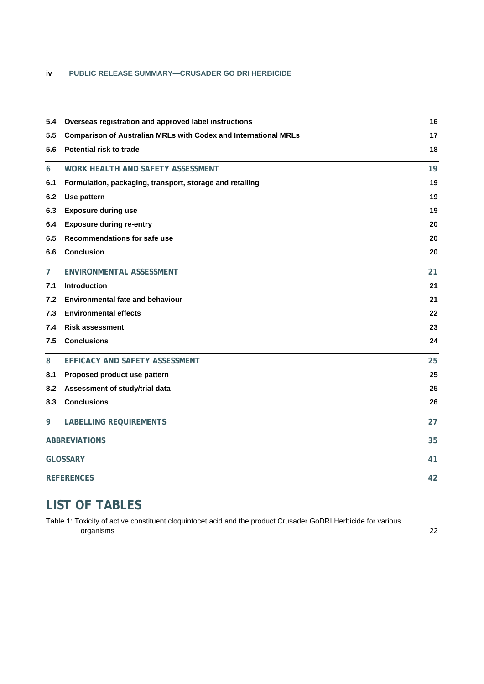### **iv PUBLIC RELEASE SUMMARY—CRUSADER GO DRI HERBICIDE**

| 5.4               | Overseas registration and approved label instructions                  | 16 |
|-------------------|------------------------------------------------------------------------|----|
| 5.5               | <b>Comparison of Australian MRLs with Codex and International MRLs</b> | 17 |
| 5.6               | <b>Potential risk to trade</b>                                         | 18 |
| 6                 | WORK HEALTH AND SAFETY ASSESSMENT                                      | 19 |
| 6.1               | Formulation, packaging, transport, storage and retailing               | 19 |
| 6.2               | Use pattern                                                            | 19 |
| 6.3               | <b>Exposure during use</b>                                             | 19 |
| 6.4               | <b>Exposure during re-entry</b>                                        | 20 |
| 6.5               | <b>Recommendations for safe use</b>                                    | 20 |
| 6.6               | <b>Conclusion</b>                                                      | 20 |
| $\overline{7}$    | <b>ENVIRONMENTAL ASSESSMENT</b>                                        | 21 |
| 7.1               | Introduction                                                           | 21 |
| 7.2               | <b>Environmental fate and behaviour</b>                                | 21 |
| 7.3               | <b>Environmental effects</b>                                           | 22 |
| 7.4               | <b>Risk assessment</b>                                                 | 23 |
| 7.5               | <b>Conclusions</b>                                                     | 24 |
| 8                 | EFFICACY AND SAFETY ASSESSMENT                                         | 25 |
| 8.1               | Proposed product use pattern                                           | 25 |
| 8.2               | Assessment of study/trial data                                         | 25 |
| 8.3               | <b>Conclusions</b>                                                     | 26 |
| 9                 | <b>LABELLING REQUIREMENTS</b>                                          | 27 |
|                   | <b>ABBREVIATIONS</b>                                                   | 35 |
|                   | <b>GLOSSARY</b>                                                        | 41 |
| <b>REFERENCES</b> | 42                                                                     |    |
|                   |                                                                        |    |

# **LIST OF TABLES**

[Table 1: Toxicity of active constituent cloquintocet acid and the product Crusader GoDRI Herbicide for various](#page-29-1)  [organisms](#page-29-1) 22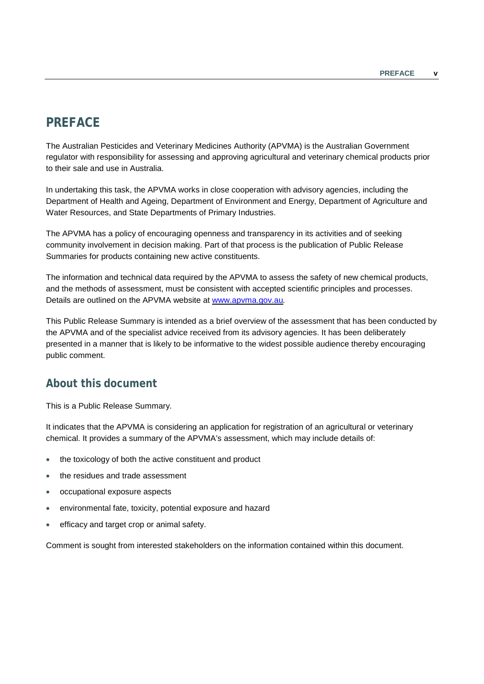# <span id="page-4-0"></span>**PREFACE**

The Australian Pesticides and Veterinary Medicines Authority (APVMA) is the Australian Government regulator with responsibility for assessing and approving agricultural and veterinary chemical products prior to their sale and use in Australia.

In undertaking this task, the APVMA works in close cooperation with advisory agencies, including the Department of Health and Ageing, Department of Environment and Energy, Department of Agriculture and Water Resources, and State Departments of Primary Industries.

The APVMA has a policy of encouraging openness and transparency in its activities and of seeking community involvement in decision making. Part of that process is the publication of Public Release Summaries for products containing new active constituents.

The information and technical data required by the APVMA to assess the safety of new chemical products, and the methods of assessment, must be consistent with accepted scientific principles and processes. Details are outlined on the APVMA website at [www.apvma.gov.au](http://www.apvma.gov.au/)*.*

This Public Release Summary is intended as a brief overview of the assessment that has been conducted by the APVMA and of the specialist advice received from its advisory agencies. It has been deliberately presented in a manner that is likely to be informative to the widest possible audience thereby encouraging public comment.

# <span id="page-4-1"></span>**About this document**

This is a Public Release Summary.

It indicates that the APVMA is considering an application for registration of an agricultural or veterinary chemical. It provides a summary of the APVMA's assessment, which may include details of:

- the toxicology of both the active constituent and product
- the residues and trade assessment
- occupational exposure aspects
- environmental fate, toxicity, potential exposure and hazard
- efficacy and target crop or animal safety.

Comment is sought from interested stakeholders on the information contained within this document.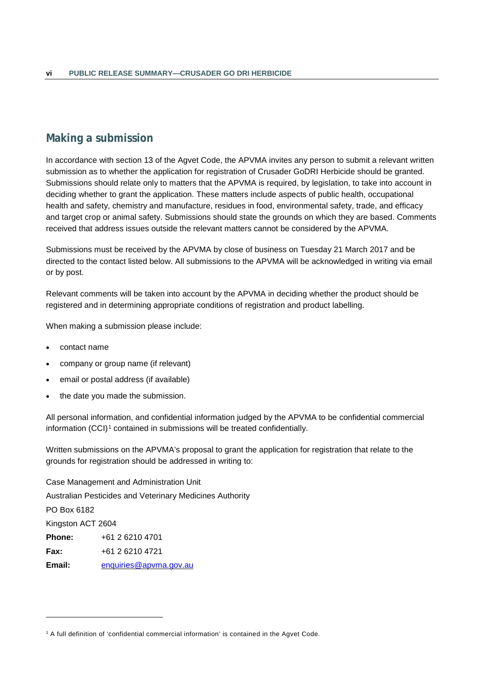# <span id="page-5-0"></span>**Making a submission**

In accordance with section 13 of the Agvet Code, the APVMA invites any person to submit a relevant written submission as to whether the application for registration of Crusader GoDRI Herbicide should be granted. Submissions should relate only to matters that the APVMA is required, by legislation, to take into account in deciding whether to grant the application. These matters include aspects of public health, occupational health and safety, chemistry and manufacture, residues in food, environmental safety, trade, and efficacy and target crop or animal safety. Submissions should state the grounds on which they are based. Comments received that address issues outside the relevant matters cannot be considered by the APVMA.

Submissions must be received by the APVMA by close of business on Tuesday 21 March 2017 and be directed to the contact listed below. All submissions to the APVMA will be acknowledged in writing via email or by post.

Relevant comments will be taken into account by the APVMA in deciding whether the product should be registered and in determining appropriate conditions of registration and product labelling.

When making a submission please include:

• contact name

-

- company or group name (if relevant)
- email or postal address (if available)
- the date you made the submission.

All personal information, and confidential information judged by the APVMA to be confidential commercial information (CCI)<sup>[1](#page-5-1)</sup> contained in submissions will be treated confidentially.

Written submissions on the APVMA's proposal to grant the application for registration that relate to the grounds for registration should be addressed in writing to:

Case Management and Administration Unit Australian Pesticides and Veterinary Medicines Authority PO Box 6182 Kingston ACT 2604 **Phone:** +61 2 6210 4701 **Fax:** +61 2 6210 4721 **Email:** [enquiries@apvma.gov.au](mailto:enquiries@apvma.gov.au)

<span id="page-5-1"></span><sup>1</sup> A full definition of 'confidential commercial information' is contained in the Agvet Code.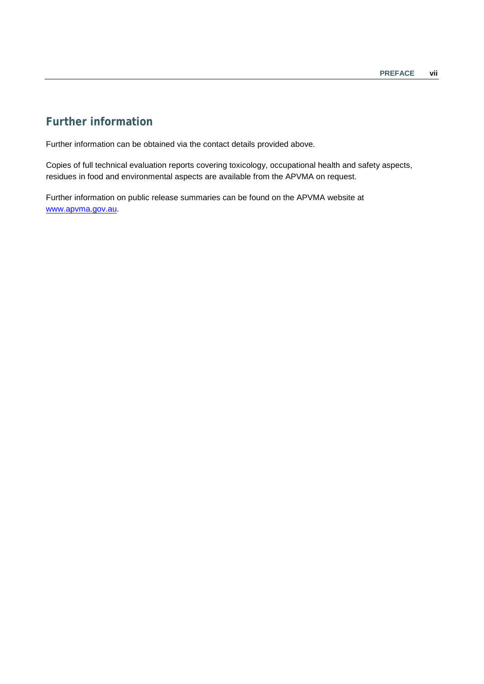# <span id="page-6-0"></span>**Further information**

Further information can be obtained via the contact details provided above.

Copies of full technical evaluation reports covering toxicology, occupational health and safety aspects, residues in food and environmental aspects are available from the APVMA on request.

Further information on public release summaries can be found on the APVMA website at [www.apvma.gov.au.](http://www.apvma.gov.au/)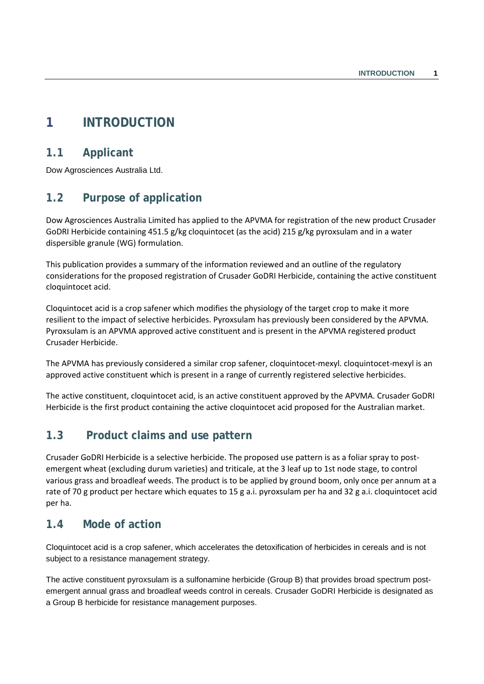# <span id="page-8-0"></span>**1 INTRODUCTION**

# <span id="page-8-1"></span>**1.1 Applicant**

Dow Agrosciences Australia Ltd.

# <span id="page-8-2"></span>**1.2 Purpose of application**

Dow Agrosciences Australia Limited has applied to the APVMA for registration of the new product Crusader GoDRI Herbicide containing 451.5 g/kg cloquintocet (as the acid) 215 g/kg pyroxsulam and in a water dispersible granule (WG) formulation.

This publication provides a summary of the information reviewed and an outline of the regulatory considerations for the proposed registration of Crusader GoDRI Herbicide, containing the active constituent cloquintocet acid.

Cloquintocet acid is a crop safener which modifies the physiology of the target crop to make it more resilient to the impact of selective herbicides. Pyroxsulam has previously been considered by the APVMA. Pyroxsulam is an APVMA approved active constituent and is present in the APVMA registered product Crusader Herbicide.

The APVMA has previously considered a similar crop safener, cloquintocet-mexyl. cloquintocet-mexyl is an approved active constituent which is present in a range of currently registered selective herbicides.

The active constituent, cloquintocet acid, is an active constituent approved by the APVMA. Crusader GoDRI Herbicide is the first product containing the active cloquintocet acid proposed for the Australian market.

# <span id="page-8-3"></span>**1.3 Product claims and use pattern**

Crusader GoDRI Herbicide is a selective herbicide. The proposed use pattern is as a foliar spray to postemergent wheat (excluding durum varieties) and triticale, at the 3 leaf up to 1st node stage, to control various grass and broadleaf weeds. The product is to be applied by ground boom, only once per annum at a rate of 70 g product per hectare which equates to 15 g a.i. pyroxsulam per ha and 32 g a.i. cloquintocet acid per ha.

# <span id="page-8-4"></span>**1.4 Mode of action**

Cloquintocet acid is a crop safener, which accelerates the detoxification of herbicides in cereals and is not subject to a resistance management strategy.

The active constituent pyroxsulam is a sulfonamine herbicide (Group B) that provides broad spectrum postemergent annual grass and broadleaf weeds control in cereals. Crusader GoDRI Herbicide is designated as a Group B herbicide for resistance management purposes.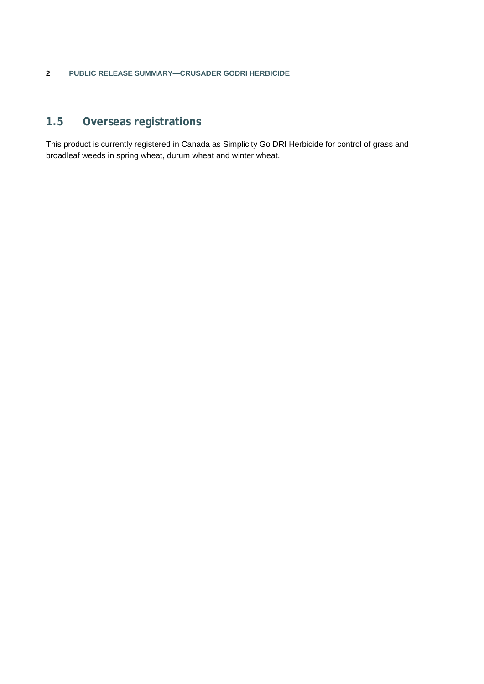# <span id="page-9-0"></span>**1.5 Overseas registrations**

This product is currently registered in Canada as Simplicity Go DRI Herbicide for control of grass and broadleaf weeds in spring wheat, durum wheat and winter wheat.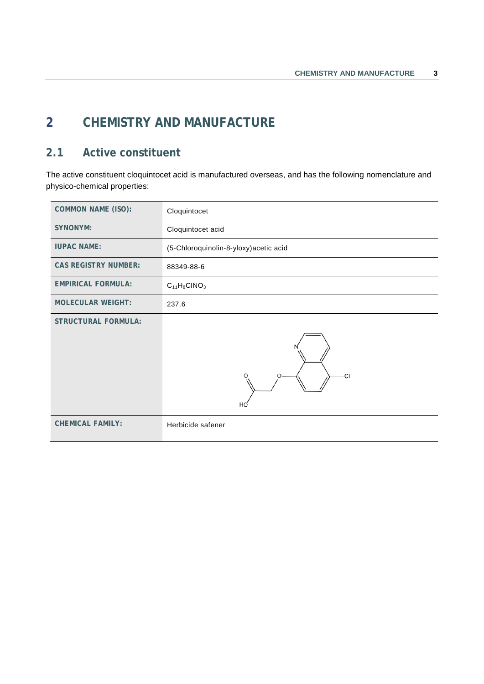# <span id="page-10-0"></span>**2 CHEMISTRY AND MANUFACTURE**

# <span id="page-10-1"></span>**2.1 Active constituent**

The active constituent cloquintocet acid is manufactured overseas, and has the following nomenclature and physico-chemical properties:

| <b>COMMON NAME (ISO):</b>   | Cloquintocet                           |
|-----------------------------|----------------------------------------|
| <b>SYNONYM:</b>             | Cloquintocet acid                      |
| <b>IUPAC NAME:</b>          | (5-Chloroquinolin-8-yloxy) acetic acid |
| <b>CAS REGISTRY NUMBER:</b> | 88349-88-6                             |
| <b>EMPIRICAL FORMULA:</b>   | $C_{11}H_8CINO_3$                      |
| <b>MOLECULAR WEIGHT:</b>    | 237.6                                  |
| <b>STRUCTURAL FORMULA:</b>  | O<br>CI<br>HQ                          |
| <b>CHEMICAL FAMILY:</b>     | Herbicide safener                      |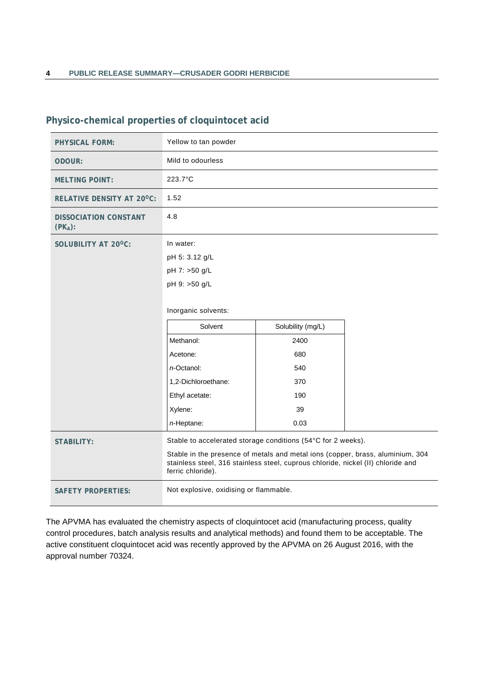| <b>PHYSICAL FORM:</b>                      | Yellow to tan powder                                                                                                                                                                    |     |  |  |
|--------------------------------------------|-----------------------------------------------------------------------------------------------------------------------------------------------------------------------------------------|-----|--|--|
| ODOUR:                                     | Mild to odourless                                                                                                                                                                       |     |  |  |
| <b>MELTING POINT:</b>                      | 223.7°C                                                                                                                                                                                 |     |  |  |
| RELATIVE DENSITY AT 20°C:                  | 1.52                                                                                                                                                                                    |     |  |  |
| <b>DISSOCIATION CONSTANT</b><br>$(PK_A)$ : | 4.8                                                                                                                                                                                     |     |  |  |
| SOLUBILITY AT 20°C:                        | In water:                                                                                                                                                                               |     |  |  |
|                                            | pH 5: 3.12 g/L                                                                                                                                                                          |     |  |  |
|                                            | pH 7: >50 g/L                                                                                                                                                                           |     |  |  |
|                                            | pH 9: >50 g/L                                                                                                                                                                           |     |  |  |
|                                            | Inorganic solvents:                                                                                                                                                                     |     |  |  |
|                                            | Solvent<br>Solubility (mg/L)                                                                                                                                                            |     |  |  |
|                                            | Methanol:<br>2400                                                                                                                                                                       |     |  |  |
|                                            | 680<br>Acetone:                                                                                                                                                                         |     |  |  |
|                                            | <i>n</i> -Octanol:                                                                                                                                                                      | 540 |  |  |
|                                            | 1,2-Dichloroethane:                                                                                                                                                                     | 370 |  |  |
|                                            | Ethyl acetate:                                                                                                                                                                          | 190 |  |  |
|                                            | Xylene:                                                                                                                                                                                 | 39  |  |  |
|                                            | 0.03<br>n-Heptane:                                                                                                                                                                      |     |  |  |
| <b>STABILITY:</b>                          | Stable to accelerated storage conditions (54°C for 2 weeks).                                                                                                                            |     |  |  |
|                                            | Stable in the presence of metals and metal ions (copper, brass, aluminium, 304<br>stainless steel, 316 stainless steel, cuprous chloride, nickel (II) chloride and<br>ferric chloride). |     |  |  |
| <b>SAFETY PROPERTIES:</b>                  | Not explosive, oxidising or flammable.                                                                                                                                                  |     |  |  |

# **Physico-chemical properties of cloquintocet acid**

The APVMA has evaluated the chemistry aspects of cloquintocet acid (manufacturing process, quality control procedures, batch analysis results and analytical methods) and found them to be acceptable. The active constituent cloquintocet acid was recently approved by the APVMA on 26 August 2016, with the approval number 70324.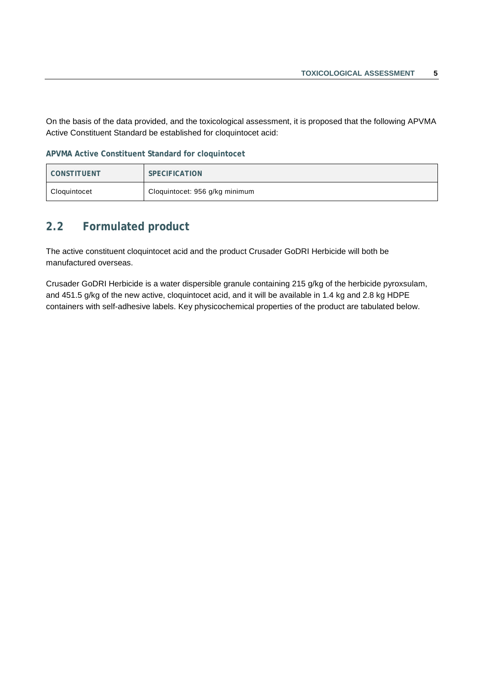On the basis of the data provided, and the toxicological assessment, it is proposed that the following APVMA Active Constituent Standard be established for cloquintocet acid:

**APVMA Active Constituent Standard for cloquintocet**

| <b>CONSTITUENT</b> | <b>SPECIFICATION</b>           |
|--------------------|--------------------------------|
| Cloquintocet       | Cloquintocet: 956 g/kg minimum |

# <span id="page-12-0"></span>**2.2 Formulated product**

The active constituent cloquintocet acid and the product Crusader GoDRI Herbicide will both be manufactured overseas.

Crusader GoDRI Herbicide is a water dispersible granule containing 215 g/kg of the herbicide pyroxsulam, and 451.5 g/kg of the new active, cloquintocet acid, and it will be available in 1.4 kg and 2.8 kg HDPE containers with self-adhesive labels. Key physicochemical properties of the product are tabulated below.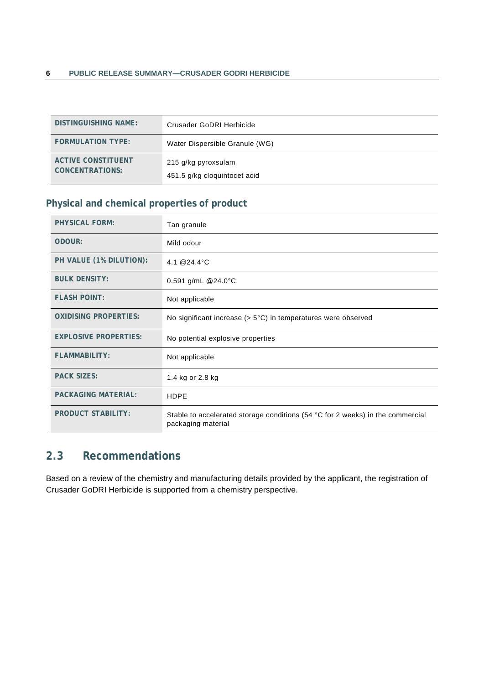| DISTINGUISHING NAME:                         | Crusader GoDRI Herbicide                            |
|----------------------------------------------|-----------------------------------------------------|
| <b>FORMULATION TYPE:</b>                     | Water Dispersible Granule (WG)                      |
| <b>ACTIVE CONSTITUENT</b><br>CONCENTRATIONS: | 215 g/kg pyroxsulam<br>451.5 g/kg cloquintocet acid |

# **Physical and chemical properties of product**

| <b>PHYSICAL FORM:</b>        | Tan granule                                                                                          |  |
|------------------------------|------------------------------------------------------------------------------------------------------|--|
| ODOUR:                       | Mild odour                                                                                           |  |
| PH VALUE (1% DILUTION):      | 4.1 @ 24.4 °C                                                                                        |  |
| <b>BULK DENSITY:</b>         | 0.591 g/mL @24.0°C                                                                                   |  |
| <b>FLASH POINT:</b>          | Not applicable                                                                                       |  |
| <b>OXIDISING PROPERTIES:</b> | No significant increase ( $> 5^{\circ}$ C) in temperatures were observed                             |  |
| <b>EXPLOSIVE PROPERTIES:</b> | No potential explosive properties                                                                    |  |
| <b>FLAMMABILITY:</b>         | Not applicable                                                                                       |  |
| <b>PACK SIZES:</b>           | 1.4 kg or 2.8 kg                                                                                     |  |
| <b>PACKAGING MATERIAL:</b>   | <b>HDPE</b>                                                                                          |  |
| <b>PRODUCT STABILITY:</b>    | Stable to accelerated storage conditions (54 °C for 2 weeks) in the commercial<br>packaging material |  |

# <span id="page-13-0"></span>**2.3 Recommendations**

Based on a review of the chemistry and manufacturing details provided by the applicant, the registration of Crusader GoDRI Herbicide is supported from a chemistry perspective.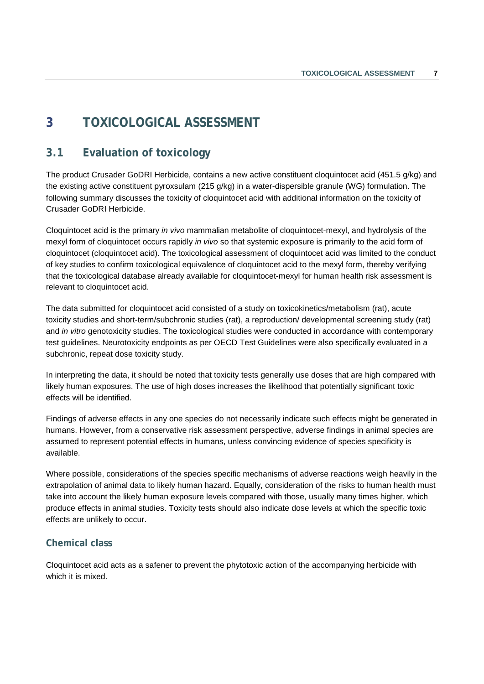# <span id="page-14-0"></span>**3 TOXICOLOGICAL ASSESSMENT**

# <span id="page-14-1"></span>**3.1 Evaluation of toxicology**

The product Crusader GoDRI Herbicide, contains a new active constituent cloquintocet acid (451.5 g/kg) and the existing active constituent pyroxsulam (215 g/kg) in a water-dispersible granule (WG) formulation. The following summary discusses the toxicity of cloquintocet acid with additional information on the toxicity of Crusader GoDRI Herbicide.

Cloquintocet acid is the primary *in vivo* mammalian metabolite of cloquintocet-mexyl, and hydrolysis of the mexyl form of cloquintocet occurs rapidly *in vivo* so that systemic exposure is primarily to the acid form of cloquintocet (cloquintocet acid). The toxicological assessment of cloquintocet acid was limited to the conduct of key studies to confirm toxicological equivalence of cloquintocet acid to the mexyl form, thereby verifying that the toxicological database already available for cloquintocet-mexyl for human health risk assessment is relevant to cloquintocet acid.

The data submitted for cloquintocet acid consisted of a study on toxicokinetics/metabolism (rat), acute toxicity studies and short-term/subchronic studies (rat), a reproduction/ developmental screening study (rat) and *in vitro* genotoxicity studies. The toxicological studies were conducted in accordance with contemporary test guidelines. Neurotoxicity endpoints as per OECD Test Guidelines were also specifically evaluated in a subchronic, repeat dose toxicity study.

In interpreting the data, it should be noted that toxicity tests generally use doses that are high compared with likely human exposures. The use of high doses increases the likelihood that potentially significant toxic effects will be identified.

Findings of adverse effects in any one species do not necessarily indicate such effects might be generated in humans. However, from a conservative risk assessment perspective, adverse findings in animal species are assumed to represent potential effects in humans, unless convincing evidence of species specificity is available.

Where possible, considerations of the species specific mechanisms of adverse reactions weigh heavily in the extrapolation of animal data to likely human hazard. Equally, consideration of the risks to human health must take into account the likely human exposure levels compared with those, usually many times higher, which produce effects in animal studies. Toxicity tests should also indicate dose levels at which the specific toxic effects are unlikely to occur.

### **Chemical class**

Cloquintocet acid acts as a safener to prevent the phytotoxic action of the accompanying herbicide with which it is mixed.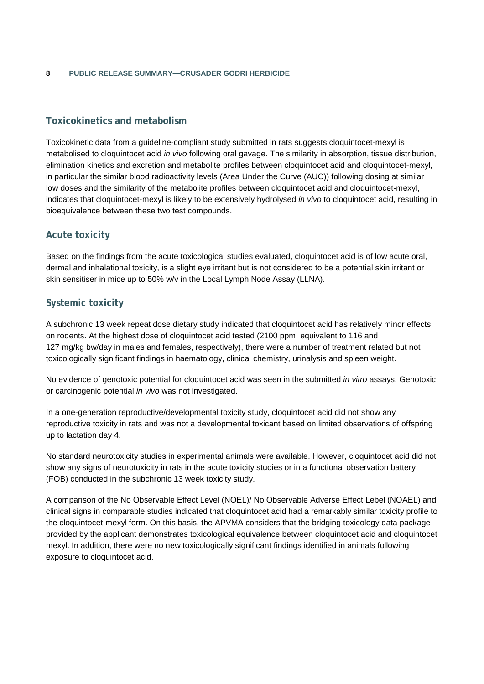# **Toxicokinetics and metabolism**

Toxicokinetic data from a guideline-compliant study submitted in rats suggests cloquintocet-mexyl is metabolised to cloquintocet acid *in vivo* following oral gavage. The similarity in absorption, tissue distribution, elimination kinetics and excretion and metabolite profiles between cloquintocet acid and cloquintocet-mexyl, in particular the similar blood radioactivity levels (Area Under the Curve (AUC)) following dosing at similar low doses and the similarity of the metabolite profiles between cloquintocet acid and cloquintocet-mexyl, indicates that cloquintocet-mexyl is likely to be extensively hydrolysed *in vivo* to cloquintocet acid, resulting in bioequivalence between these two test compounds.

# **Acute toxicity**

Based on the findings from the acute toxicological studies evaluated, cloquintocet acid is of low acute oral, dermal and inhalational toxicity, is a slight eye irritant but is not considered to be a potential skin irritant or skin sensitiser in mice up to 50% w/v in the Local Lymph Node Assay (LLNA).

# **Systemic toxicity**

A subchronic 13 week repeat dose dietary study indicated that cloquintocet acid has relatively minor effects on rodents. At the highest dose of cloquintocet acid tested (2100 ppm; equivalent to 116 and 127 mg/kg bw/day in males and females, respectively), there were a number of treatment related but not toxicologically significant findings in haematology, clinical chemistry, urinalysis and spleen weight.

No evidence of genotoxic potential for cloquintocet acid was seen in the submitted *in vitro* assays. Genotoxic or carcinogenic potential *in vivo* was not investigated.

In a one-generation reproductive/developmental toxicity study, cloquintocet acid did not show any reproductive toxicity in rats and was not a developmental toxicant based on limited observations of offspring up to lactation day 4.

No standard neurotoxicity studies in experimental animals were available. However, cloquintocet acid did not show any signs of neurotoxicity in rats in the acute toxicity studies or in a functional observation battery (FOB) conducted in the subchronic 13 week toxicity study.

A comparison of the No Observable Effect Level (NOEL)/ No Observable Adverse Effect Lebel (NOAEL) and clinical signs in comparable studies indicated that cloquintocet acid had a remarkably similar toxicity profile to the cloquintocet-mexyl form. On this basis, the APVMA considers that the bridging toxicology data package provided by the applicant demonstrates toxicological equivalence between cloquintocet acid and cloquintocet mexyl. In addition, there were no new toxicologically significant findings identified in animals following exposure to cloquintocet acid.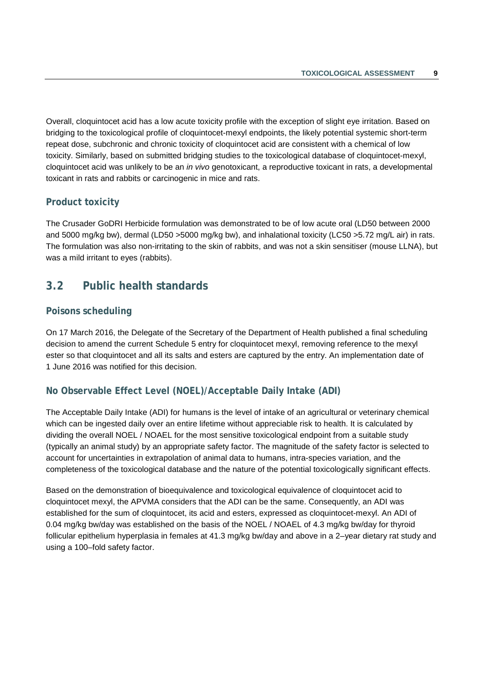Overall, cloquintocet acid has a low acute toxicity profile with the exception of slight eye irritation. Based on bridging to the toxicological profile of cloquintocet-mexyl endpoints, the likely potential systemic short-term repeat dose, subchronic and chronic toxicity of cloquintocet acid are consistent with a chemical of low toxicity. Similarly, based on submitted bridging studies to the toxicological database of cloquintocet-mexyl, cloquintocet acid was unlikely to be an *in vivo* genotoxicant, a reproductive toxicant in rats, a developmental toxicant in rats and rabbits or carcinogenic in mice and rats.

### **Product toxicity**

The Crusader GoDRI Herbicide formulation was demonstrated to be of low acute oral (LD50 between 2000 and 5000 mg/kg bw), dermal (LD50 >5000 mg/kg bw), and inhalational toxicity (LC50 >5.72 mg/L air) in rats. The formulation was also non-irritating to the skin of rabbits, and was not a skin sensitiser (mouse LLNA), but was a mild irritant to eyes (rabbits).

# <span id="page-16-0"></span>**3.2 Public health standards**

### **Poisons scheduling**

On 17 March 2016, the Delegate of the Secretary of the Department of Health published a final scheduling decision to amend the current Schedule 5 entry for cloquintocet mexyl, removing reference to the mexyl ester so that cloquintocet and all its salts and esters are captured by the entry. An implementation date of 1 June 2016 was notified for this decision.

### **No Observable Effect Level (NOEL)/Acceptable Daily Intake (ADI)**

The Acceptable Daily Intake (ADI) for humans is the level of intake of an agricultural or veterinary chemical which can be ingested daily over an entire lifetime without appreciable risk to health. It is calculated by dividing the overall NOEL / NOAEL for the most sensitive toxicological endpoint from a suitable study (typically an animal study) by an appropriate safety factor. The magnitude of the safety factor is selected to account for uncertainties in extrapolation of animal data to humans, intra-species variation, and the completeness of the toxicological database and the nature of the potential toxicologically significant effects.

Based on the demonstration of bioequivalence and toxicological equivalence of cloquintocet acid to cloquintocet mexyl, the APVMA considers that the ADI can be the same. Consequently, an ADI was established for the sum of cloquintocet, its acid and esters, expressed as cloquintocet-mexyl. An ADI of 0.04 mg/kg bw/day was established on the basis of the NOEL / NOAEL of 4.3 mg/kg bw/day for thyroid follicular epithelium hyperplasia in females at 41.3 mg/kg bw/day and above in a 2–year dietary rat study and using a 100–fold safety factor.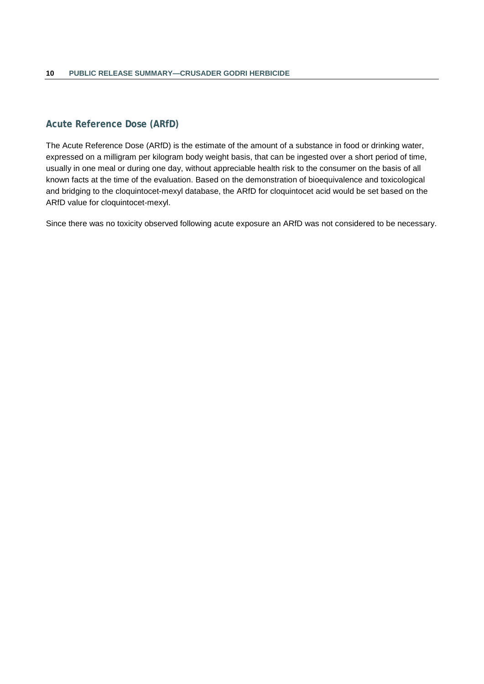# **Acute Reference Dose (ARfD)**

The Acute Reference Dose (ARfD) is the estimate of the amount of a substance in food or drinking water, expressed on a milligram per kilogram body weight basis, that can be ingested over a short period of time, usually in one meal or during one day, without appreciable health risk to the consumer on the basis of all known facts at the time of the evaluation. Based on the demonstration of bioequivalence and toxicological and bridging to the cloquintocet-mexyl database, the ARfD for cloquintocet acid would be set based on the ARfD value for cloquintocet-mexyl.

Since there was no toxicity observed following acute exposure an ARfD was not considered to be necessary.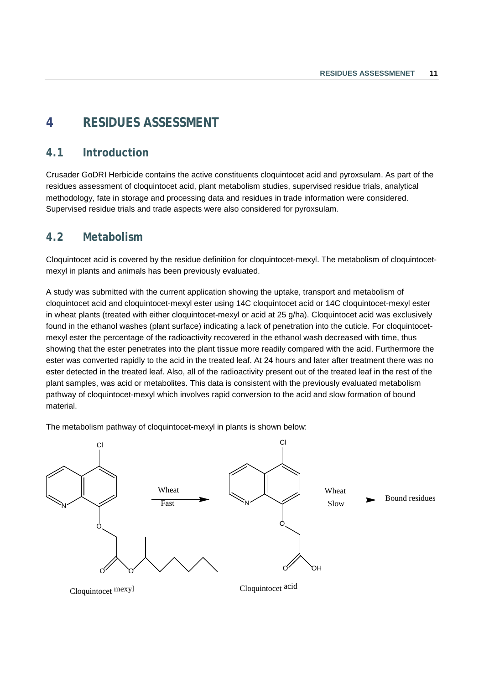# <span id="page-18-0"></span>**4 RESIDUES ASSESSMENT**

# <span id="page-18-1"></span>**4.1 Introduction**

Crusader GoDRI Herbicide contains the active constituents cloquintocet acid and pyroxsulam. As part of the residues assessment of cloquintocet acid, plant metabolism studies, supervised residue trials, analytical methodology, fate in storage and processing data and residues in trade information were considered. Supervised residue trials and trade aspects were also considered for pyroxsulam.

# <span id="page-18-2"></span>**4.2 Metabolism**

Cloquintocet acid is covered by the residue definition for cloquintocet-mexyl. The metabolism of cloquintocetmexyl in plants and animals has been previously evaluated.

A study was submitted with the current application showing the uptake, transport and metabolism of cloquintocet acid and cloquintocet-mexyl ester using 14C cloquintocet acid or 14C cloquintocet-mexyl ester in wheat plants (treated with either cloquintocet-mexyl or acid at 25 g/ha). Cloquintocet acid was exclusively found in the ethanol washes (plant surface) indicating a lack of penetration into the cuticle. For cloquintocetmexyl ester the percentage of the radioactivity recovered in the ethanol wash decreased with time, thus showing that the ester penetrates into the plant tissue more readily compared with the acid. Furthermore the ester was converted rapidly to the acid in the treated leaf. At 24 hours and later after treatment there was no ester detected in the treated leaf. Also, all of the radioactivity present out of the treated leaf in the rest of the plant samples, was acid or metabolites. This data is consistent with the previously evaluated metabolism pathway of cloquintocet-mexyl which involves rapid conversion to the acid and slow formation of bound material.

The metabolism pathway of cloquintocet-mexyl in plants is shown below:



Cloquintocet mexyl Cloquintocet acid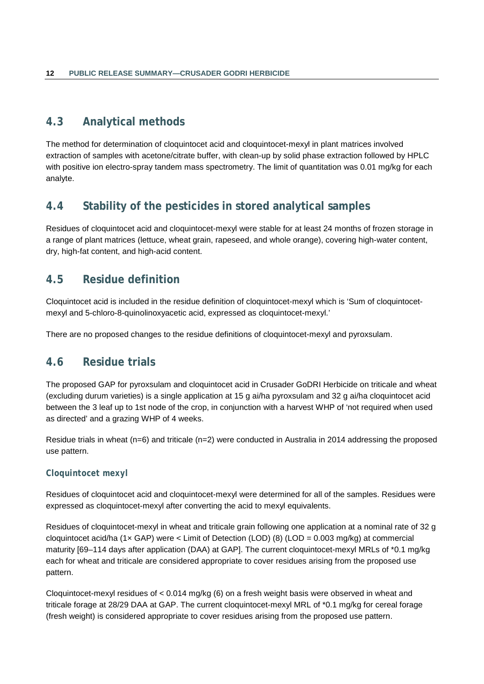# <span id="page-19-0"></span>**4.3 Analytical methods**

The method for determination of cloquintocet acid and cloquintocet-mexyl in plant matrices involved extraction of samples with acetone/citrate buffer, with clean-up by solid phase extraction followed by HPLC with positive ion electro-spray tandem mass spectrometry. The limit of quantitation was 0.01 mg/kg for each analyte.

# <span id="page-19-1"></span>**4.4 Stability of the pesticides in stored analytical samples**

Residues of cloquintocet acid and cloquintocet-mexyl were stable for at least 24 months of frozen storage in a range of plant matrices (lettuce, wheat grain, rapeseed, and whole orange), covering high-water content, dry, high-fat content, and high-acid content.

# <span id="page-19-2"></span>**4.5 Residue definition**

Cloquintocet acid is included in the residue definition of cloquintocet-mexyl which is 'Sum of cloquintocetmexyl and 5-chloro-8-quinolinoxyacetic acid, expressed as cloquintocet-mexyl.'

There are no proposed changes to the residue definitions of cloquintocet-mexyl and pyroxsulam.

# <span id="page-19-3"></span>**4.6 Residue trials**

The proposed GAP for pyroxsulam and cloquintocet acid in Crusader GoDRI Herbicide on triticale and wheat (excluding durum varieties) is a single application at 15 g ai/ha pyroxsulam and 32 g ai/ha cloquintocet acid between the 3 leaf up to 1st node of the crop, in conjunction with a harvest WHP of 'not required when used as directed' and a grazing WHP of 4 weeks.

Residue trials in wheat (n=6) and triticale (n=2) were conducted in Australia in 2014 addressing the proposed use pattern.

### *Cloquintocet mexyl*

Residues of cloquintocet acid and cloquintocet-mexyl were determined for all of the samples. Residues were expressed as cloquintocet-mexyl after converting the acid to mexyl equivalents.

Residues of cloquintocet-mexyl in wheat and triticale grain following one application at a nominal rate of 32 g cloquintocet acid/ha (1 $\times$  GAP) were < Limit of Detection (LOD) (8) (LOD = 0.003 mg/kg) at commercial maturity [69–114 days after application (DAA) at GAP]. The current cloquintocet-mexyl MRLs of \*0.1 mg/kg each for wheat and triticale are considered appropriate to cover residues arising from the proposed use pattern.

Cloquintocet-mexyl residues of < 0.014 mg/kg (6) on a fresh weight basis were observed in wheat and triticale forage at 28/29 DAA at GAP. The current cloquintocet-mexyl MRL of \*0.1 mg/kg for cereal forage (fresh weight) is considered appropriate to cover residues arising from the proposed use pattern.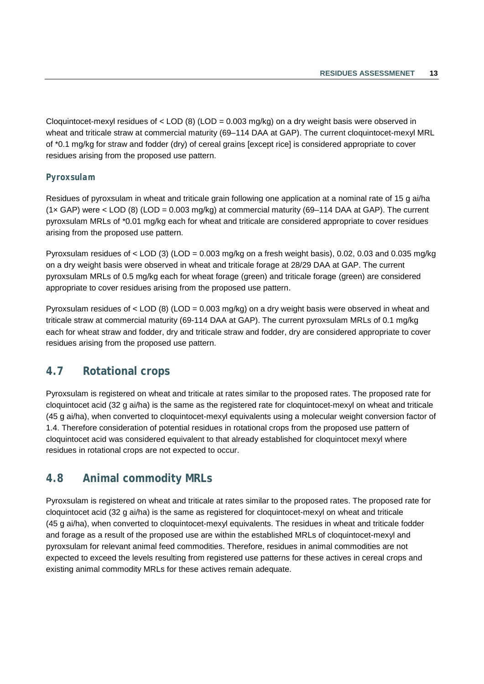Cloquintocet-mexyl residues of  $\lt$  LOD (8) (LOD = 0.003 mg/kg) on a dry weight basis were observed in wheat and triticale straw at commercial maturity (69–114 DAA at GAP). The current cloquintocet-mexyl MRL of \*0.1 mg/kg for straw and fodder (dry) of cereal grains [except rice] is considered appropriate to cover residues arising from the proposed use pattern.

### *Pyroxsulam*

Residues of pyroxsulam in wheat and triticale grain following one application at a nominal rate of 15 g ai/ha  $(1 \times \text{GAP})$  were  $\lt$  LOD (8) (LOD = 0.003 mg/kg) at commercial maturity (69–114 DAA at GAP). The current pyroxsulam MRLs of \*0.01 mg/kg each for wheat and triticale are considered appropriate to cover residues arising from the proposed use pattern.

Pyroxsulam residues of  $\lt$  LOD (3) (LOD = 0.003 mg/kg on a fresh weight basis), 0.02, 0.03 and 0.035 mg/kg on a dry weight basis were observed in wheat and triticale forage at 28/29 DAA at GAP. The current pyroxsulam MRLs of 0.5 mg/kg each for wheat forage (green) and triticale forage (green) are considered appropriate to cover residues arising from the proposed use pattern.

Pyroxsulam residues of < LOD (8) (LOD = 0.003 mg/kg) on a dry weight basis were observed in wheat and triticale straw at commercial maturity (69-114 DAA at GAP). The current pyroxsulam MRLs of 0.1 mg/kg each for wheat straw and fodder, dry and triticale straw and fodder, dry are considered appropriate to cover residues arising from the proposed use pattern.

# <span id="page-20-0"></span>**4.7 Rotational crops**

Pyroxsulam is registered on wheat and triticale at rates similar to the proposed rates. The proposed rate for cloquintocet acid (32 g ai/ha) is the same as the registered rate for cloquintocet-mexyl on wheat and triticale (45 g ai/ha), when converted to cloquintocet-mexyl equivalents using a molecular weight conversion factor of 1.4. Therefore consideration of potential residues in rotational crops from the proposed use pattern of cloquintocet acid was considered equivalent to that already established for cloquintocet mexyl where residues in rotational crops are not expected to occur.

# <span id="page-20-1"></span>**4.8 Animal commodity MRLs**

Pyroxsulam is registered on wheat and triticale at rates similar to the proposed rates. The proposed rate for cloquintocet acid (32 g ai/ha) is the same as registered for cloquintocet-mexyl on wheat and triticale (45 g ai/ha), when converted to cloquintocet-mexyl equivalents. The residues in wheat and triticale fodder and forage as a result of the proposed use are within the established MRLs of cloquintocet-mexyl and pyroxsulam for relevant animal feed commodities. Therefore, residues in animal commodities are not expected to exceed the levels resulting from registered use patterns for these actives in cereal crops and existing animal commodity MRLs for these actives remain adequate.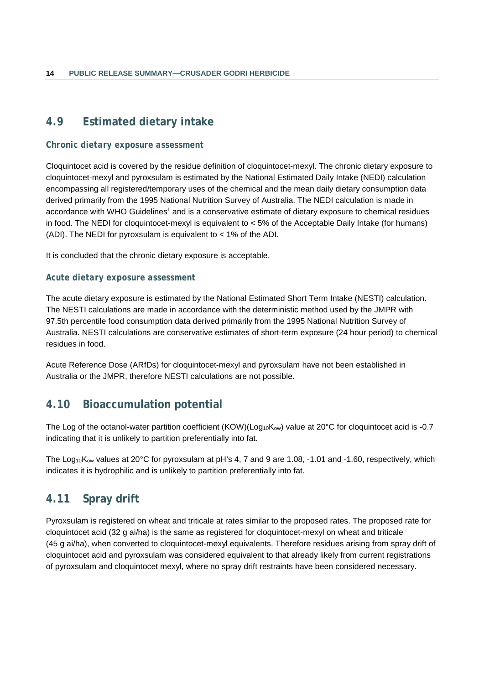# <span id="page-21-0"></span>**4.9 Estimated dietary intake**

### *Chronic dietary exposure assessment*

Cloquintocet acid is covered by the residue definition of cloquintocet-mexyl. The chronic dietary exposure to cloquintocet-mexyl and pyroxsulam is estimated by the National Estimated Daily Intake (NEDI) calculation encompassing all registered/temporary uses of the chemical and the mean daily dietary consumption data derived primarily from the 1995 National Nutrition Survey of Australia. The NEDI calculation is made in accordance with WHO Guidelines<sup>1</sup> and is a conservative estimate of dietary exposure to chemical residues in food. The NEDI for cloquintocet-mexyl is equivalent to < 5% of the Acceptable Daily Intake (for humans) (ADI). The NEDI for pyroxsulam is equivalent to < 1% of the ADI.

It is concluded that the chronic dietary exposure is acceptable.

### *Acute dietary exposure assessment*

The acute dietary exposure is estimated by the National Estimated Short Term Intake (NESTI) calculation. The NESTI calculations are made in accordance with the deterministic method used by the JMPR with 97.5th percentile food consumption data derived primarily from the 1995 National Nutrition Survey of Australia. NESTI calculations are conservative estimates of short-term exposure (24 hour period) to chemical residues in food.

Acute Reference Dose (ARfDs) for cloquintocet-mexyl and pyroxsulam have not been established in Australia or the JMPR, therefore NESTI calculations are not possible.

# <span id="page-21-1"></span>**4.10 Bioaccumulation potential**

The Log of the octanol-water partition coefficient (KOW)(Log<sub>10</sub>K<sub>ow</sub>) value at 20°C for cloquintocet acid is -0.7 indicating that it is unlikely to partition preferentially into fat.

The Log<sub>10</sub>K<sub>ow</sub> values at 20<sup>o</sup>C for pyroxsulam at pH's 4, 7 and 9 are 1.08, -1.01 and -1.60, respectively, which indicates it is hydrophilic and is unlikely to partition preferentially into fat.

# <span id="page-21-2"></span>**4.11 Spray drift**

Pyroxsulam is registered on wheat and triticale at rates similar to the proposed rates. The proposed rate for cloquintocet acid (32 g ai/ha) is the same as registered for cloquintocet-mexyl on wheat and triticale (45 g ai/ha), when converted to cloquintocet-mexyl equivalents. Therefore residues arising from spray drift of cloquintocet acid and pyroxsulam was considered equivalent to that already likely from current registrations of pyroxsulam and cloquintocet mexyl, where no spray drift restraints have been considered necessary.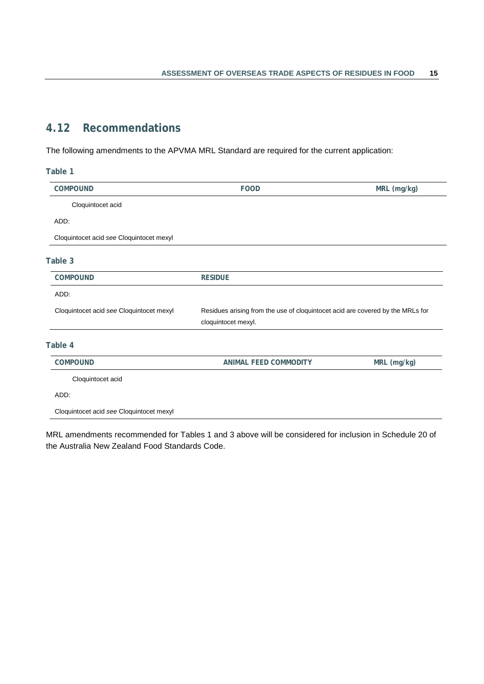# <span id="page-22-0"></span>**4.12 Recommendations**

The following amendments to the APVMA MRL Standard are required for the current application:

| Table 1                                  |                                                                                |             |
|------------------------------------------|--------------------------------------------------------------------------------|-------------|
| COMPOUND                                 | <b>FOOD</b>                                                                    | MRL (mg/kg) |
| Cloquintocet acid                        |                                                                                |             |
| ADD:                                     |                                                                                |             |
| Cloquintocet acid see Cloquintocet mexyl |                                                                                |             |
| Table 3                                  |                                                                                |             |
| <b>COMPOUND</b>                          | <b>RESIDUE</b>                                                                 |             |
| ADD:                                     |                                                                                |             |
| Cloquintocet acid see Cloquintocet mexyl | Residues arising from the use of cloquintocet acid are covered by the MRLs for |             |
|                                          |                                                                                |             |
|                                          | cloquintocet mexyl.                                                            |             |
|                                          |                                                                                |             |
| <b>COMPOUND</b>                          | <b>ANIMAL FEED COMMODITY</b>                                                   | MRL (mg/kg) |
| Cloquintocet acid                        |                                                                                |             |
| Table 4<br>ADD:                          |                                                                                |             |

MRL amendments recommended for Tables 1 and 3 above will be considered for inclusion in Schedule 20 of the Australia New Zealand Food Standards Code.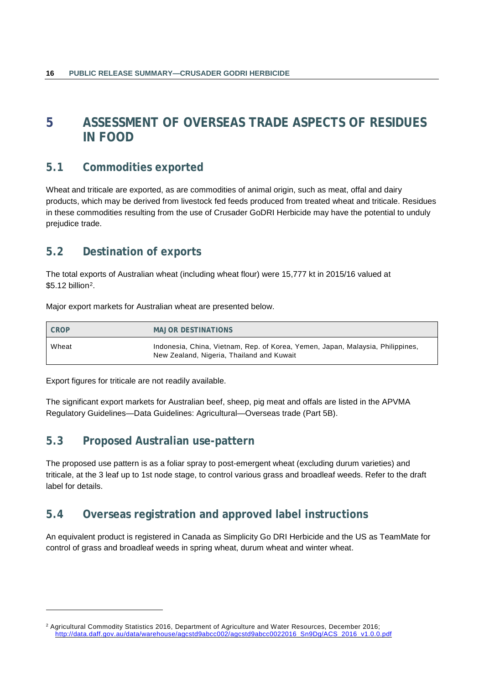# <span id="page-23-0"></span>**5 ASSESSMENT OF OVERSEAS TRADE ASPECTS OF RESIDUES IN FOOD**

# <span id="page-23-1"></span>**5.1 Commodities exported**

Wheat and triticale are exported, as are commodities of animal origin, such as meat, offal and dairy products, which may be derived from livestock fed feeds produced from treated wheat and triticale. Residues in these commodities resulting from the use of Crusader GoDRI Herbicide may have the potential to unduly prejudice trade.

# <span id="page-23-2"></span>**5.2 Destination of exports**

The total exports of Australian wheat (including wheat flour) were 15,777 kt in 2015/16 valued at \$5.12 billion[2](#page-23-5).

Major export markets for Australian wheat are presented below.

| <b>CROP</b> | <b>MAJOR DESTINATIONS</b>                                                                                                   |
|-------------|-----------------------------------------------------------------------------------------------------------------------------|
| Wheat       | Indonesia, China, Vietnam, Rep. of Korea, Yemen, Japan, Malaysia, Philippines,<br>New Zealand, Nigeria, Thailand and Kuwait |

Export figures for triticale are not readily available.

-

The significant export markets for Australian beef, sheep, pig meat and offals are listed in the APVMA Regulatory Guidelines—Data Guidelines: Agricultural—Overseas trade (Part 5B).

# <span id="page-23-3"></span>**5.3 Proposed Australian use-pattern**

The proposed use pattern is as a foliar spray to post-emergent wheat (excluding durum varieties) and triticale, at the 3 leaf up to 1st node stage, to control various grass and broadleaf weeds. Refer to the draft label for details.

# <span id="page-23-4"></span>**5.4 Overseas registration and approved label instructions**

An equivalent product is registered in Canada as Simplicity Go DRI Herbicide and the US as TeamMate for control of grass and broadleaf weeds in spring wheat, durum wheat and winter wheat.

<span id="page-23-5"></span><sup>2</sup> Agricultural Commodity Statistics 2016, Department of Agriculture and Water Resources, December 2016; http://data.daff.gov.au/data/warehouse/agcstd9abcc002/agcstd9abcc0022016\_Sn9Dg/ACS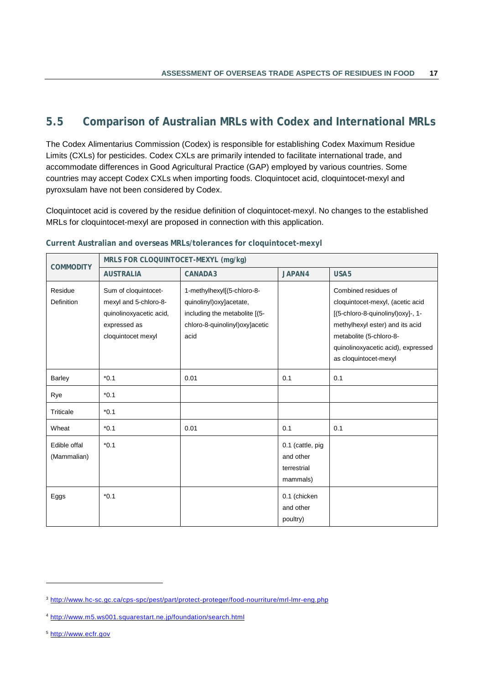# <span id="page-24-0"></span>**5.5 Comparison of Australian MRLs with Codex and International MRLs**

The Codex Alimentarius Commission (Codex) is responsible for establishing Codex Maximum Residue Limits (CXLs) for pesticides. Codex CXLs are primarily intended to facilitate international trade, and accommodate differences in Good Agricultural Practice (GAP) employed by various countries. Some countries may accept Codex CXLs when importing foods. Cloquintocet acid, cloquintocet-mexyl and pyroxsulam have not been considered by Codex.

Cloquintocet acid is covered by the residue definition of cloquintocet-mexyl. No changes to the established MRLs for cloquintocet-mexyl are proposed in connection with this application.

| <b>COMMODITY</b>             | MRLS FOR CLOQUINTOCET-MEXYL (mg/kg)                                                                            |                                                                                                                                     |                                                          |                                                                                                                                                                                                                            |
|------------------------------|----------------------------------------------------------------------------------------------------------------|-------------------------------------------------------------------------------------------------------------------------------------|----------------------------------------------------------|----------------------------------------------------------------------------------------------------------------------------------------------------------------------------------------------------------------------------|
|                              | <b>AUSTRALIA</b>                                                                                               | CANADA3                                                                                                                             | JAPAN4                                                   | USA <sub>5</sub>                                                                                                                                                                                                           |
| Residue<br><b>Definition</b> | Sum of cloquintocet-<br>mexyl and 5-chloro-8-<br>quinolinoxyacetic acid,<br>expressed as<br>cloquintocet mexyl | 1-methylhexyl[(5-chloro-8-<br>quinolinyl) oxy ] acetate,<br>including the metabolite [(5-<br>chloro-8-quinolinyl)oxy]acetic<br>acid |                                                          | Combined residues of<br>cloquintocet-mexyl, (acetic acid<br>[(5-chloro-8-quinolinyl)oxy]-, 1-<br>methylhexyl ester) and its acid<br>metabolite (5-chloro-8-<br>quinolinoxyacetic acid), expressed<br>as cloquintocet-mexyl |
| Barley                       | $*0.1$                                                                                                         | 0.01                                                                                                                                | 0.1                                                      | 0.1                                                                                                                                                                                                                        |
| Rye                          | $*0.1$                                                                                                         |                                                                                                                                     |                                                          |                                                                                                                                                                                                                            |
| Triticale                    | $*0.1$                                                                                                         |                                                                                                                                     |                                                          |                                                                                                                                                                                                                            |
| Wheat                        | $*0.1$                                                                                                         | 0.01                                                                                                                                | 0.1                                                      | 0.1                                                                                                                                                                                                                        |
| Edible offal<br>(Mammalian)  | $*0.1$                                                                                                         |                                                                                                                                     | 0.1 (cattle, pig<br>and other<br>terrestrial<br>mammals) |                                                                                                                                                                                                                            |
| Eggs                         | $*0.1$                                                                                                         |                                                                                                                                     | 0.1 (chicken<br>and other<br>poultry)                    |                                                                                                                                                                                                                            |

### **Current Australian and overseas MRLs/tolerances for cloquintocet-mexyl**

<span id="page-24-3"></span><sup>5</sup> [http://www.ecfr.gov](http://www.ecfr.gov/)

-

<span id="page-24-1"></span><sup>3</sup> <http://www.hc-sc.gc.ca/cps-spc/pest/part/protect-proteger/food-nourriture/mrl-lmr-eng.php>

<span id="page-24-2"></span><sup>4</sup> <http://www.m5.ws001.squarestart.ne.jp/foundation/search.html>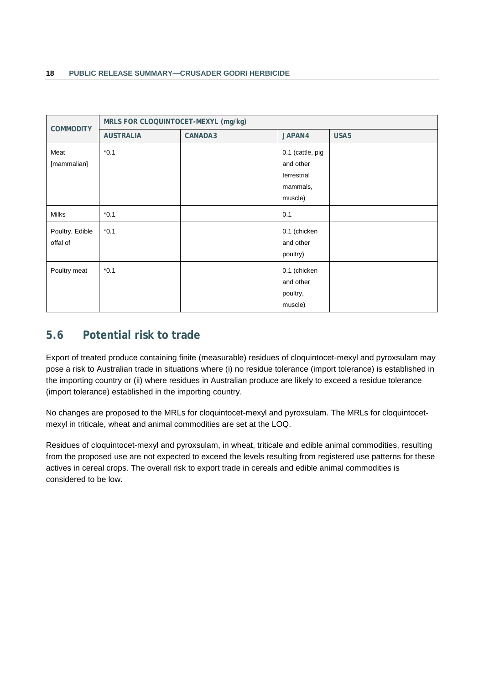| <b>COMMODITY</b>            | MRLS FOR CLOQUINTOCET-MEXYL (mg/kg) |         |                                                                     |                  |
|-----------------------------|-------------------------------------|---------|---------------------------------------------------------------------|------------------|
|                             | <b>AUSTRALIA</b>                    | CANADA3 | JAPAN4                                                              | USA <sub>5</sub> |
| Meat<br>[mammalian]         | $*0.1$                              |         | 0.1 (cattle, pig<br>and other<br>terrestrial<br>mammals,<br>muscle) |                  |
| <b>Milks</b>                | $*0.1$                              |         | 0.1                                                                 |                  |
| Poultry, Edible<br>offal of | $*0.1$                              |         | 0.1 (chicken<br>and other<br>poultry)                               |                  |
| Poultry meat                | $*0.1$                              |         | 0.1 (chicken<br>and other<br>poultry,<br>muscle)                    |                  |

# <span id="page-25-0"></span>**5.6 Potential risk to trade**

Export of treated produce containing finite (measurable) residues of cloquintocet-mexyl and pyroxsulam may pose a risk to Australian trade in situations where (i) no residue tolerance (import tolerance) is established in the importing country or (ii) where residues in Australian produce are likely to exceed a residue tolerance (import tolerance) established in the importing country.

No changes are proposed to the MRLs for cloquintocet-mexyl and pyroxsulam. The MRLs for cloquintocetmexyl in triticale, wheat and animal commodities are set at the LOQ.

Residues of cloquintocet-mexyl and pyroxsulam, in wheat, triticale and edible animal commodities, resulting from the proposed use are not expected to exceed the levels resulting from registered use patterns for these actives in cereal crops. The overall risk to export trade in cereals and edible animal commodities is considered to be low.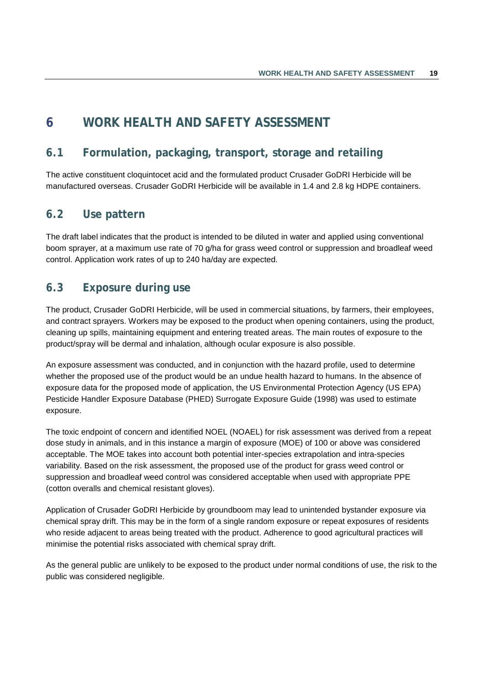# <span id="page-26-0"></span>**6 WORK HEALTH AND SAFETY ASSESSMENT**

# <span id="page-26-1"></span>**6.1 Formulation, packaging, transport, storage and retailing**

The active constituent cloquintocet acid and the formulated product Crusader GoDRI Herbicide will be manufactured overseas. Crusader GoDRI Herbicide will be available in 1.4 and 2.8 kg HDPE containers.

# <span id="page-26-2"></span>**6.2 Use pattern**

The draft label indicates that the product is intended to be diluted in water and applied using conventional boom sprayer, at a maximum use rate of 70 g/ha for grass weed control or suppression and broadleaf weed control. Application work rates of up to 240 ha/day are expected.

# <span id="page-26-3"></span>**6.3 Exposure during use**

The product, Crusader GoDRI Herbicide, will be used in commercial situations, by farmers, their employees, and contract sprayers. Workers may be exposed to the product when opening containers, using the product, cleaning up spills, maintaining equipment and entering treated areas. The main routes of exposure to the product/spray will be dermal and inhalation, although ocular exposure is also possible.

An exposure assessment was conducted, and in conjunction with the hazard profile, used to determine whether the proposed use of the product would be an undue health hazard to humans. In the absence of exposure data for the proposed mode of application, the US Environmental Protection Agency (US EPA) Pesticide Handler Exposure Database (PHED) Surrogate Exposure Guide (1998) was used to estimate exposure.

The toxic endpoint of concern and identified NOEL (NOAEL) for risk assessment was derived from a repeat dose study in animals, and in this instance a margin of exposure (MOE) of 100 or above was considered acceptable. The MOE takes into account both potential inter-species extrapolation and intra-species variability. Based on the risk assessment, the proposed use of the product for grass weed control or suppression and broadleaf weed control was considered acceptable when used with appropriate PPE (cotton overalls and chemical resistant gloves).

Application of Crusader GoDRI Herbicide by groundboom may lead to unintended bystander exposure via chemical spray drift. This may be in the form of a single random exposure or repeat exposures of residents who reside adjacent to areas being treated with the product. Adherence to good agricultural practices will minimise the potential risks associated with chemical spray drift.

As the general public are unlikely to be exposed to the product under normal conditions of use, the risk to the public was considered negligible.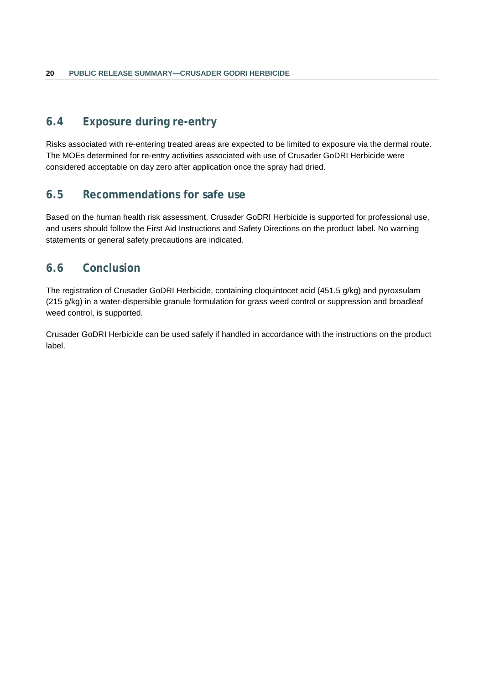# <span id="page-27-0"></span>**6.4 Exposure during re-entry**

Risks associated with re-entering treated areas are expected to be limited to exposure via the dermal route. The MOEs determined for re-entry activities associated with use of Crusader GoDRI Herbicide were considered acceptable on day zero after application once the spray had dried.

# <span id="page-27-1"></span>**6.5 Recommendations for safe use**

Based on the human health risk assessment, Crusader GoDRI Herbicide is supported for professional use, and users should follow the First Aid Instructions and Safety Directions on the product label. No warning statements or general safety precautions are indicated.

# <span id="page-27-2"></span>**6.6 Conclusion**

The registration of Crusader GoDRI Herbicide, containing cloquintocet acid (451.5 g/kg) and pyroxsulam (215 g/kg) in a water-dispersible granule formulation for grass weed control or suppression and broadleaf weed control, is supported.

Crusader GoDRI Herbicide can be used safely if handled in accordance with the instructions on the product label.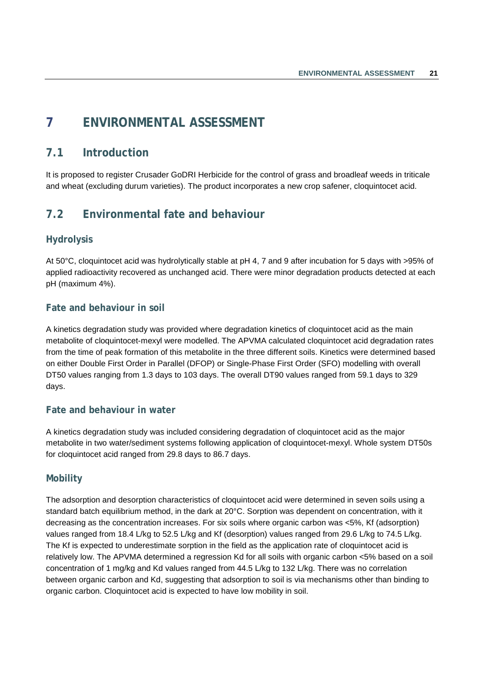# <span id="page-28-0"></span>**7 ENVIRONMENTAL ASSESSMENT**

# <span id="page-28-1"></span>**7.1 Introduction**

It is proposed to register Crusader GoDRI Herbicide for the control of grass and broadleaf weeds in triticale and wheat (excluding durum varieties). The product incorporates a new crop safener, cloquintocet acid.

# <span id="page-28-2"></span>**7.2 Environmental fate and behaviour**

# **Hydrolysis**

At 50°C, cloquintocet acid was hydrolytically stable at pH 4, 7 and 9 after incubation for 5 days with >95% of applied radioactivity recovered as unchanged acid. There were minor degradation products detected at each pH (maximum 4%).

### **Fate and behaviour in soil**

A kinetics degradation study was provided where degradation kinetics of cloquintocet acid as the main metabolite of cloquintocet-mexyl were modelled. The APVMA calculated cloquintocet acid degradation rates from the time of peak formation of this metabolite in the three different soils. Kinetics were determined based on either Double First Order in Parallel (DFOP) or Single-Phase First Order (SFO) modelling with overall DT50 values ranging from 1.3 days to 103 days. The overall DT90 values ranged from 59.1 days to 329 days.

### **Fate and behaviour in water**

A kinetics degradation study was included considering degradation of cloquintocet acid as the major metabolite in two water/sediment systems following application of cloquintocet-mexyl. Whole system DT50s for cloquintocet acid ranged from 29.8 days to 86.7 days.

### **Mobility**

The adsorption and desorption characteristics of cloquintocet acid were determined in seven soils using a standard batch equilibrium method, in the dark at 20°C. Sorption was dependent on concentration, with it decreasing as the concentration increases. For six soils where organic carbon was <5%, Kf (adsorption) values ranged from 18.4 L/kg to 52.5 L/kg and Kf (desorption) values ranged from 29.6 L/kg to 74.5 L/kg. The Kf is expected to underestimate sorption in the field as the application rate of cloquintocet acid is relatively low. The APVMA determined a regression Kd for all soils with organic carbon <5% based on a soil concentration of 1 mg/kg and Kd values ranged from 44.5 L/kg to 132 L/kg. There was no correlation between organic carbon and Kd, suggesting that adsorption to soil is via mechanisms other than binding to organic carbon. Cloquintocet acid is expected to have low mobility in soil.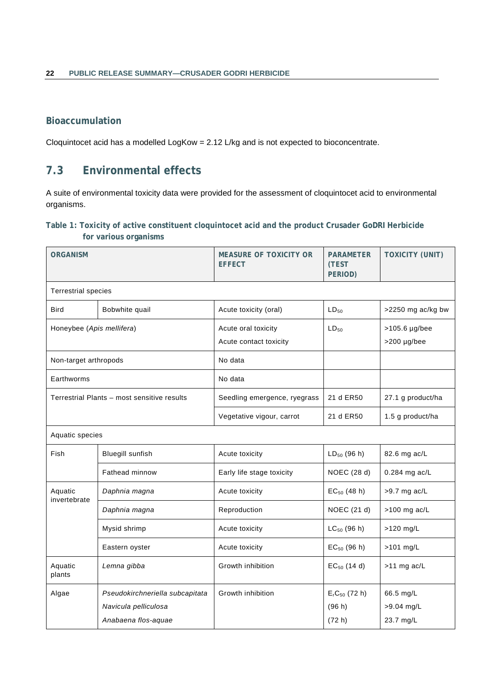# **Bioaccumulation**

Cloquintocet acid has a modelled LogKow = 2.12 L/kg and is not expected to bioconcentrate.

# <span id="page-29-0"></span>**7.3 Environmental effects**

A suite of environmental toxicity data were provided for the assessment of cloquintocet acid to environmental organisms.

### <span id="page-29-1"></span>**Table 1: Toxicity of active constituent cloquintocet acid and the product Crusader GoDRI Herbicide for various organisms**

| <b>ORGANISM</b>            |                                             | <b>MEASURE OF TOXICITY OR</b><br><b>EFFECT</b> | <b>PARAMETER</b><br>(TEST<br>PERIOD) | <b>TOXICITY (UNIT)</b>       |
|----------------------------|---------------------------------------------|------------------------------------------------|--------------------------------------|------------------------------|
| <b>Terrestrial species</b> |                                             |                                                |                                      |                              |
| <b>Bird</b>                | Bobwhite quail                              | Acute toxicity (oral)                          | $LD_{50}$                            | >2250 mg ac/kg bw            |
| Honeybee (Apis mellifera)  |                                             | Acute oral toxicity<br>Acute contact toxicity  | $LD_{50}$                            | >105.6 µg/bee<br>>200 µg/bee |
| Non-target arthropods      |                                             | No data                                        |                                      |                              |
| Earthworms                 |                                             | No data                                        |                                      |                              |
|                            | Terrestrial Plants - most sensitive results | Seedling emergence, ryegrass                   | 21 d ER50                            | 27.1 g product/ha            |
|                            |                                             | Vegetative vigour, carrot                      | 21 d ER50                            | 1.5 g product/ha             |
| Aquatic species            |                                             |                                                |                                      |                              |
| Fish                       | <b>Bluegill sunfish</b>                     | Acute toxicity                                 | $LD_{50}$ (96 h)                     | 82.6 mg ac/L                 |
|                            | Fathead minnow                              | Early life stage toxicity                      | NOEC (28 d)                          | 0.284 mg ac/L                |
| Aquatic<br>invertebrate    | Daphnia magna                               | Acute toxicity                                 | $EC_{50}$ (48 h)                     | $>9.7$ mg ac/L               |
|                            | Daphnia magna                               | Reproduction                                   | NOEC (21 d)                          | $>100$ mg ac/L               |
|                            | Mysid shrimp                                | Acute toxicity                                 | $LC_{50}$ (96 h)                     | >120 mg/L                    |
|                            | Eastern oyster                              | Acute toxicity                                 | $EC_{50}$ (96 h)                     | $>101$ mg/L                  |
| Aquatic<br>plants          | Lemna gibba                                 | Growth inhibition                              | $EC_{50}$ (14 d)                     | >11 mg ac/L                  |
| Algae                      | Pseudokirchneriella subcapitata             | Growth inhibition                              | $ErC50$ (72 h)                       | 66.5 mg/L                    |
|                            | Navicula pelliculosa                        |                                                | (96 h)                               | >9.04 mg/L                   |
|                            | Anabaena flos-aquae                         |                                                | (72 h)                               | 23.7 mg/L                    |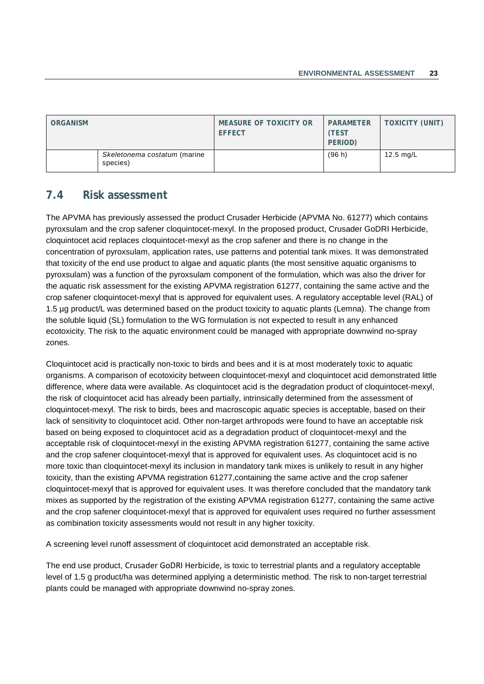| <b>ORGANISM</b> |                                          | MEASURE OF TOXICITY OR<br><b>EFFECT</b> | <b>PARAMETER</b><br>(TEST<br>PERIOD) | <b>TOXICITY (UNIT)</b> |
|-----------------|------------------------------------------|-----------------------------------------|--------------------------------------|------------------------|
|                 | Skeletonema costatum (marine<br>species) |                                         | (96 h)                               | $12.5 \text{ ma/L}$    |

# <span id="page-30-0"></span>**7.4 Risk assessment**

The APVMA has previously assessed the product Crusader Herbicide (APVMA No. 61277) which contains pyroxsulam and the crop safener cloquintocet-mexyl. In the proposed product, Crusader GoDRI Herbicide, cloquintocet acid replaces cloquintocet-mexyl as the crop safener and there is no change in the concentration of pyroxsulam, application rates, use patterns and potential tank mixes. It was demonstrated that toxicity of the end use product to algae and aquatic plants (the most sensitive aquatic organisms to pyroxsulam) was a function of the pyroxsulam component of the formulation, which was also the driver for the aquatic risk assessment for the existing APVMA registration 61277, containing the same active and the crop safener cloquintocet-mexyl that is approved for equivalent uses. A regulatory acceptable level (RAL) of 1.5 µg product/L was determined based on the product toxicity to aquatic plants (Lemna). The change from the soluble liquid (SL) formulation to the WG formulation is not expected to result in any enhanced ecotoxicity. The risk to the aquatic environment could be managed with appropriate downwind no-spray zones.

Cloquintocet acid is practically non-toxic to birds and bees and it is at most moderately toxic to aquatic organisms. A comparison of ecotoxicity between cloquintocet-mexyl and cloquintocet acid demonstrated little difference, where data were available. As cloquintocet acid is the degradation product of cloquintocet-mexyl, the risk of cloquintocet acid has already been partially, intrinsically determined from the assessment of cloquintocet-mexyl. The risk to birds, bees and macroscopic aquatic species is acceptable, based on their lack of sensitivity to cloquintocet acid. Other non-target arthropods were found to have an acceptable risk based on being exposed to cloquintocet acid as a degradation product of cloquintocet-mexyl and the acceptable risk of cloquintocet-mexyl in the existing APVMA registration 61277, containing the same active and the crop safener cloquintocet-mexyl that is approved for equivalent uses. As cloquintocet acid is no more toxic than cloquintocet-mexyl its inclusion in mandatory tank mixes is unlikely to result in any higher toxicity, than the existing APVMA registration 61277,containing the same active and the crop safener cloquintocet-mexyl that is approved for equivalent uses. It was therefore concluded that the mandatory tank mixes as supported by the registration of the existing APVMA registration 61277, containing the same active and the crop safener cloquintocet-mexyl that is approved for equivalent uses required no further assessment as combination toxicity assessments would not result in any higher toxicity.

A screening level runoff assessment of cloquintocet acid demonstrated an acceptable risk.

The end use product, Crusader GoDRI Herbicide, is toxic to terrestrial plants and a regulatory acceptable level of 1.5 g product/ha was determined applying a deterministic method. The risk to non-target terrestrial plants could be managed with appropriate downwind no-spray zones.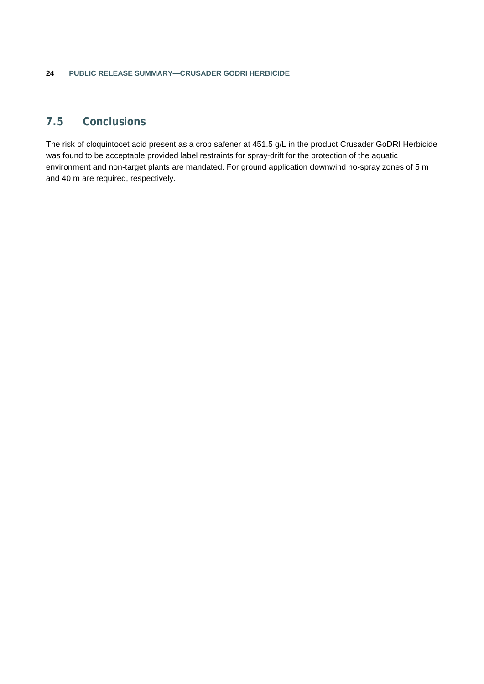# <span id="page-31-0"></span>**7.5 Conclusions**

The risk of cloquintocet acid present as a crop safener at 451.5 g/L in the product Crusader GoDRI Herbicide was found to be acceptable provided label restraints for spray-drift for the protection of the aquatic environment and non-target plants are mandated. For ground application downwind no-spray zones of 5 m and 40 m are required, respectively.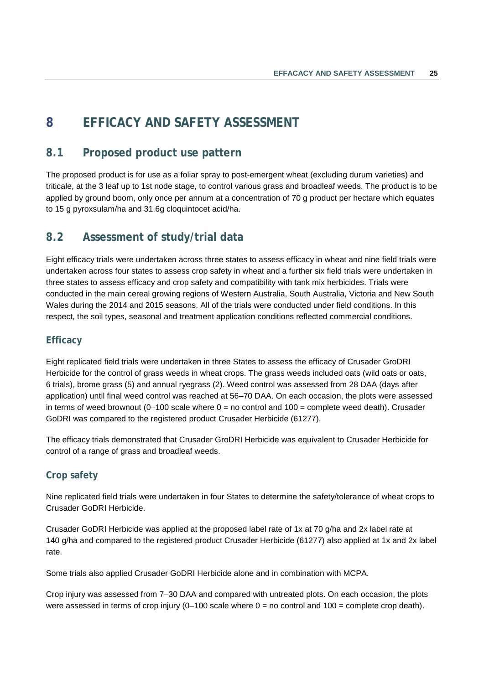# <span id="page-32-0"></span>**8 EFFICACY AND SAFETY ASSESSMENT**

# <span id="page-32-1"></span>**8.1 Proposed product use pattern**

The proposed product is for use as a foliar spray to post-emergent wheat (excluding durum varieties) and triticale, at the 3 leaf up to 1st node stage, to control various grass and broadleaf weeds. The product is to be applied by ground boom, only once per annum at a concentration of 70 g product per hectare which equates to 15 g pyroxsulam/ha and 31.6g cloquintocet acid/ha.

# <span id="page-32-2"></span>**8.2 Assessment of study/trial data**

Eight efficacy trials were undertaken across three states to assess efficacy in wheat and nine field trials were undertaken across four states to assess crop safety in wheat and a further six field trials were undertaken in three states to assess efficacy and crop safety and compatibility with tank mix herbicides. Trials were conducted in the main cereal growing regions of Western Australia, South Australia, Victoria and New South Wales during the 2014 and 2015 seasons. All of the trials were conducted under field conditions. In this respect, the soil types, seasonal and treatment application conditions reflected commercial conditions.

### **Efficacy**

Eight replicated field trials were undertaken in three States to assess the efficacy of Crusader GroDRI Herbicide for the control of grass weeds in wheat crops. The grass weeds included oats (wild oats or oats, 6 trials), brome grass (5) and annual ryegrass (2). Weed control was assessed from 28 DAA (days after application) until final weed control was reached at 56–70 DAA. On each occasion, the plots were assessed in terms of weed brownout  $(0-100$  scale where  $0 =$  no control and  $100 =$  complete weed death). Crusader GoDRI was compared to the registered product Crusader Herbicide (61277).

The efficacy trials demonstrated that Crusader GroDRI Herbicide was equivalent to Crusader Herbicide for control of a range of grass and broadleaf weeds.

# **Crop safety**

Nine replicated field trials were undertaken in four States to determine the safety/tolerance of wheat crops to Crusader GoDRI Herbicide.

Crusader GoDRI Herbicide was applied at the proposed label rate of 1x at 70 g/ha and 2x label rate at 140 g/ha and compared to the registered product Crusader Herbicide (61277) also applied at 1x and 2x label rate.

Some trials also applied Crusader GoDRI Herbicide alone and in combination with MCPA.

Crop injury was assessed from 7–30 DAA and compared with untreated plots. On each occasion, the plots were assessed in terms of crop injury (0–100 scale where  $0 =$  no control and  $100 =$  complete crop death).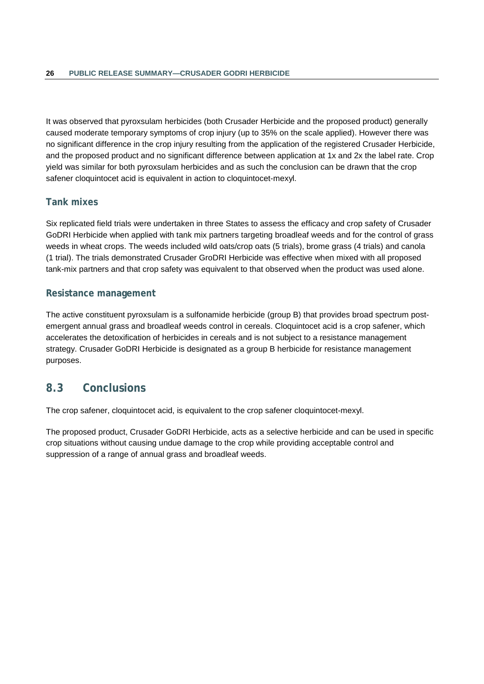It was observed that pyroxsulam herbicides (both Crusader Herbicide and the proposed product) generally caused moderate temporary symptoms of crop injury (up to 35% on the scale applied). However there was no significant difference in the crop injury resulting from the application of the registered Crusader Herbicide, and the proposed product and no significant difference between application at 1x and 2x the label rate. Crop yield was similar for both pyroxsulam herbicides and as such the conclusion can be drawn that the crop safener cloquintocet acid is equivalent in action to cloquintocet-mexyl.

### **Tank mixes**

Six replicated field trials were undertaken in three States to assess the efficacy and crop safety of Crusader GoDRI Herbicide when applied with tank mix partners targeting broadleaf weeds and for the control of grass weeds in wheat crops. The weeds included wild oats/crop oats (5 trials), brome grass (4 trials) and canola (1 trial). The trials demonstrated Crusader GroDRI Herbicide was effective when mixed with all proposed tank-mix partners and that crop safety was equivalent to that observed when the product was used alone.

### **Resistance management**

The active constituent pyroxsulam is a sulfonamide herbicide (group B) that provides broad spectrum postemergent annual grass and broadleaf weeds control in cereals. Cloquintocet acid is a crop safener, which accelerates the detoxification of herbicides in cereals and is not subject to a resistance management strategy. Crusader GoDRI Herbicide is designated as a group B herbicide for resistance management purposes.

# <span id="page-33-0"></span>**8.3 Conclusions**

The crop safener, cloquintocet acid, is equivalent to the crop safener cloquintocet-mexyl.

The proposed product, Crusader GoDRI Herbicide, acts as a selective herbicide and can be used in specific crop situations without causing undue damage to the crop while providing acceptable control and suppression of a range of annual grass and broadleaf weeds.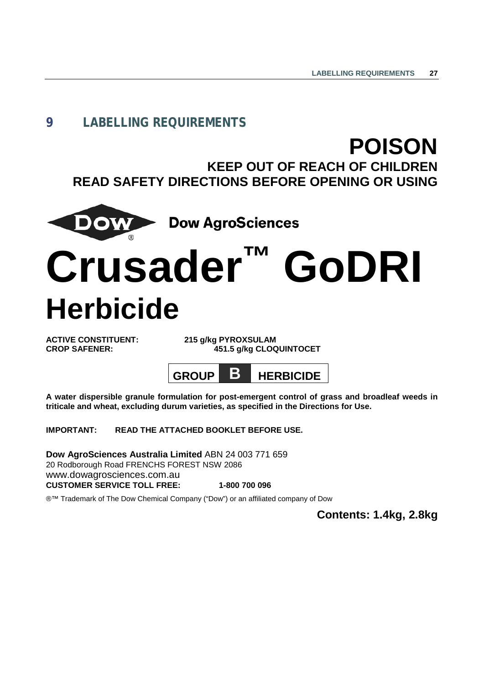# <span id="page-34-0"></span>**9 LABELLING REQUIREMENTS**

# **POISON**

**KEEP OUT OF REACH OF CHILDREN READ SAFETY DIRECTIONS BEFORE OPENING OR USING**



**Dow AgroSciences** 

# **Crusader™ GoDRI Herbicide**

**ACTIVE CONSTITUENT: 215 g/kg PYROXSULAM**

**CROP SAFENER: 451.5 g/kg CLOQUINTOCET**



**A water dispersible granule formulation for post-emergent control of grass and broadleaf weeds in triticale and wheat, excluding durum varieties, as specified in the Directions for Use.**

**IMPORTANT: READ THE ATTACHED BOOKLET BEFORE USE.**

**Dow AgroSciences Australia Limited** ABN 24 003 771 659 20 Rodborough Road FRENCHS FOREST NSW 2086 www.dowagrosciences.com.au **CUSTOMER SERVICE TOLL FREE: 1-800 700 096**

®™ Trademark of The Dow Chemical Company ("Dow") or an affiliated company of Dow

**Contents: 1.4kg, 2.8kg**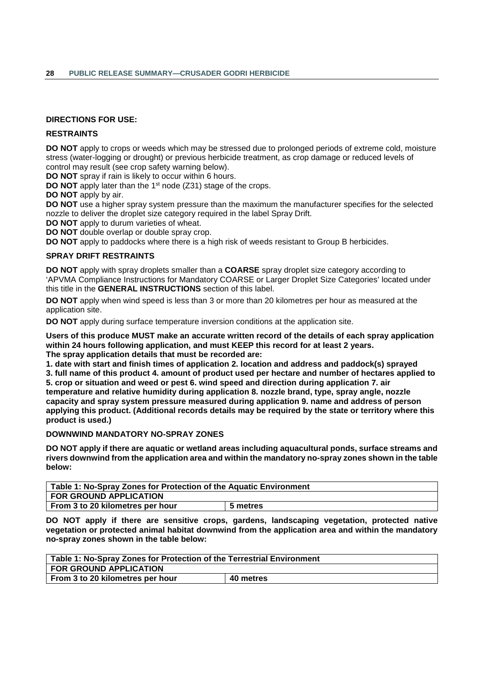### **DIRECTIONS FOR USE:**

### **RESTRAINTS**

**DO NOT** apply to crops or weeds which may be stressed due to prolonged periods of extreme cold, moisture stress (water-logging or drought) or previous herbicide treatment, as crop damage or reduced levels of control may result (see crop safety warning below).

**DO NOT** spray if rain is likely to occur within 6 hours.

**DO NOT** apply later than the 1<sup>st</sup> node (Z31) stage of the crops.

**DO NOT** apply by air.

**DO NOT** use a higher spray system pressure than the maximum the manufacturer specifies for the selected nozzle to deliver the droplet size category required in the label Spray Drift.

**DO NOT** apply to durum varieties of wheat.

**DO NOT** double overlap or double spray crop.

**DO NOT** apply to paddocks where there is a high risk of weeds resistant to Group B herbicides.

### **SPRAY DRIFT RESTRAINTS**

**DO NOT** apply with spray droplets smaller than a **COARSE** spray droplet size category according to 'APVMA Compliance Instructions for Mandatory COARSE or Larger Droplet Size Categories' located under this title in the **GENERAL INSTRUCTIONS** section of this label.

**DO NOT** apply when wind speed is less than 3 or more than 20 kilometres per hour as measured at the application site.

**DO NOT** apply during surface temperature inversion conditions at the application site.

**Users of this produce MUST make an accurate written record of the details of each spray application within 24 hours following application, and must KEEP this record for at least 2 years. The spray application details that must be recorded are:**

**1. date with start and finish times of application 2. location and address and paddock(s) sprayed** 

**3. full name of this product 4. amount of product used per hectare and number of hectares applied to 5. crop or situation and weed or pest 6. wind speed and direction during application 7. air** 

**temperature and relative humidity during application 8. nozzle brand, type, spray angle, nozzle capacity and spray system pressure measured during application 9. name and address of person applying this product. (Additional records details may be required by the state or territory where this product is used.)**

### **DOWNWIND MANDATORY NO-SPRAY ZONES**

**DO NOT apply if there are aquatic or wetland areas including aquacultural ponds, surface streams and rivers downwind from the application area and within the mandatory no-spray zones shown in the table below:**

| Table 1: No-Spray Zones for Protection of the Aquatic Environment |  |  |
|-------------------------------------------------------------------|--|--|
| <b>FOR GROUND APPLICATION</b>                                     |  |  |
| From 3 to 20 kilometres per hour<br>5 metres                      |  |  |

**DO NOT apply if there are sensitive crops, gardens, landscaping vegetation, protected native vegetation or protected animal habitat downwind from the application area and within the mandatory no-spray zones shown in the table below:**

| Table 1: No-Spray Zones for Protection of the Terrestrial Environment |  |  |
|-----------------------------------------------------------------------|--|--|
| <b>FOR GROUND APPLICATION</b>                                         |  |  |
| From 3 to 20 kilometres per hour<br>40 metres                         |  |  |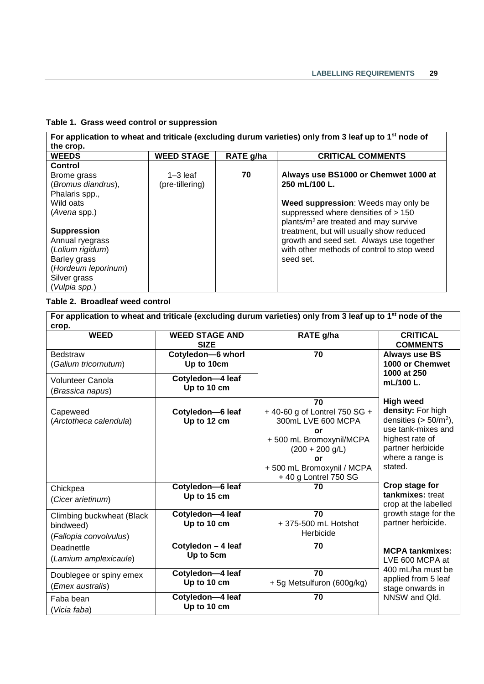### **Table 1. Grass weed control or suppression**

| For application to wheat and triticale (excluding durum varieties) only from 3 leaf up to 1 <sup>st</sup> node of |                   |           |                                                   |
|-------------------------------------------------------------------------------------------------------------------|-------------------|-----------|---------------------------------------------------|
| the crop.                                                                                                         |                   |           |                                                   |
| <b>WEEDS</b>                                                                                                      | <b>WEED STAGE</b> | RATE g/ha | <b>CRITICAL COMMENTS</b>                          |
| Control                                                                                                           |                   |           |                                                   |
| Brome grass                                                                                                       | $1 - 3$ leaf      | 70        | Always use BS1000 or Chemwet 1000 at              |
| (Bromus diandrus),                                                                                                | (pre-tillering)   |           | 250 mL/100 L.                                     |
| Phalaris spp.,                                                                                                    |                   |           |                                                   |
| Wild oats                                                                                                         |                   |           | Weed suppression: Weeds may only be               |
| (Avena spp.)                                                                                                      |                   |           | suppressed where densities of > 150               |
|                                                                                                                   |                   |           | plants/m <sup>2</sup> are treated and may survive |
| <b>Suppression</b>                                                                                                |                   |           | treatment, but will usually show reduced          |
| Annual ryegrass                                                                                                   |                   |           | growth and seed set. Always use together          |
| (Lolium rigidum)                                                                                                  |                   |           | with other methods of control to stop weed        |
| Barley grass                                                                                                      |                   |           | seed set.                                         |
| (Hordeum leporinum)                                                                                               |                   |           |                                                   |
| Silver grass                                                                                                      |                   |           |                                                   |
| (Vulpia spp.)                                                                                                     |                   |           |                                                   |

### **Table 2. Broadleaf weed control**

| For application to wheat and triticale (excluding durum varieties) only from 3 leaf up to 1 <sup>st</sup> node of the |                                      |                                                                                                                                                                            |                                                                                                                                                               |
|-----------------------------------------------------------------------------------------------------------------------|--------------------------------------|----------------------------------------------------------------------------------------------------------------------------------------------------------------------------|---------------------------------------------------------------------------------------------------------------------------------------------------------------|
| crop.<br><b>WEED</b>                                                                                                  | <b>WEED STAGE AND</b><br><b>SIZE</b> | RATE g/ha                                                                                                                                                                  | <b>CRITICAL</b><br><b>COMMENTS</b>                                                                                                                            |
| <b>Bedstraw</b><br>(Galium tricornutum)                                                                               | Cotyledon-6 whorl<br>Up to 10cm      | 70                                                                                                                                                                         | <b>Always use BS</b><br>1000 or Chemwet                                                                                                                       |
| <b>Volunteer Canola</b><br>(Brassica napus)                                                                           | Cotyledon-4 leaf<br>Up to 10 cm      |                                                                                                                                                                            | 1000 at 250<br>mL/100 L.                                                                                                                                      |
| Capeweed<br>(Arctotheca calendula)                                                                                    | Cotyledon-6 leaf<br>Up to 12 cm      | 70<br>+40-60 g of Lontrel 750 SG +<br>300mL LVE 600 MCPA<br>or<br>+500 mL Bromoxynil/MCPA<br>$(200 + 200$ g/L)<br>or<br>+500 mL Bromoxynil / MCPA<br>+ 40 g Lontrel 750 SG | <b>High weed</b><br>density: For high<br>densities $(> 50/m2)$ ,<br>use tank-mixes and<br>highest rate of<br>partner herbicide<br>where a range is<br>stated. |
| Chickpea<br>(Cicer arietinum)                                                                                         | Cotyledon-6 leaf<br>Up to 15 cm      | 70                                                                                                                                                                         | Crop stage for<br>tankmixes: treat<br>crop at the labelled                                                                                                    |
| Climbing buckwheat (Black<br>bindweed)<br>(Fallopia convolvulus)                                                      | Cotyledon-4 leaf<br>Up to 10 cm      | 70<br>+375-500 mL Hotshot<br>Herbicide                                                                                                                                     | growth stage for the<br>partner herbicide.                                                                                                                    |
| Deadnettle<br>(Lamium amplexicaule)                                                                                   | Cotyledon - 4 leaf<br>Up to 5cm      | 70                                                                                                                                                                         | <b>MCPA tankmixes:</b><br>LVE 600 MCPA at                                                                                                                     |
| Doublegee or spiny emex<br>(Emex australis)                                                                           | Cotyledon-4 leaf<br>Up to 10 cm      | 70<br>+5g Metsulfuron (600g/kg)                                                                                                                                            | 400 mL/ha must be<br>applied from 5 leaf<br>stage onwards in                                                                                                  |
| Faba bean<br>Vicia faba)                                                                                              | Cotyledon-4 leaf<br>Up to 10 cm      | 70                                                                                                                                                                         | NNSW and Qld.                                                                                                                                                 |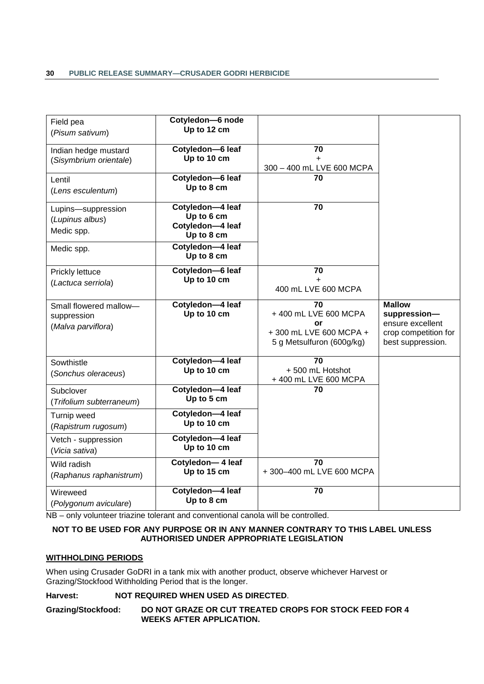| Field pea<br>(Pisum sativum)                                | Cotyledon-6 node<br>Up to 12 cm                                  |                                                                                         |                                                                                                |
|-------------------------------------------------------------|------------------------------------------------------------------|-----------------------------------------------------------------------------------------|------------------------------------------------------------------------------------------------|
| Indian hedge mustard<br>(Sisymbrium orientale)              | Cotyledon-6 leaf<br>Up to 10 cm                                  | 70<br>$\ddot{}$<br>300 - 400 mL LVE 600 MCPA                                            |                                                                                                |
| Lentil<br>(Lens esculentum)                                 | Cotyledon-6 leaf<br>Up to 8 cm                                   | 70                                                                                      |                                                                                                |
| Lupins-suppression<br>(Lupinus albus)<br>Medic spp.         | Cotyledon-4 leaf<br>Up to 6 cm<br>Cotyledon-4 leaf<br>Up to 8 cm | $\overline{70}$                                                                         |                                                                                                |
| Medic spp.                                                  | Cotyledon-4 leaf<br>Up to 8 cm                                   |                                                                                         |                                                                                                |
| Prickly lettuce<br>(Lactuca serriola)                       | Cotyledon-6 leaf<br>Up to 10 cm                                  | 70<br>$\ddot{}$<br>400 mL LVE 600 MCPA                                                  |                                                                                                |
| Small flowered mallow-<br>suppression<br>(Malva parviflora) | Cotyledon-4 leaf<br>Up to 10 cm                                  | 70<br>+400 mL LVE 600 MCPA<br>or<br>+300 mL LVE 600 MCPA +<br>5 g Metsulfuron (600g/kg) | <b>Mallow</b><br>suppression-<br>ensure excellent<br>crop competition for<br>best suppression. |
| Sowthistle<br>(Sonchus oleraceus)                           | Cotyledon-4 leaf<br>Up to 10 cm                                  | $\overline{70}$<br>+500 mL Hotshot<br>+400 mL LVE 600 MCPA                              |                                                                                                |
| Subclover<br>(Trifolium subterraneum)                       | Cotyledon-4 leaf<br>Up to 5 cm                                   | 70                                                                                      |                                                                                                |
| Turnip weed<br>(Rapistrum rugosum)                          | Cotyledon-4 leaf<br>Up to 10 cm                                  |                                                                                         |                                                                                                |
| Vetch - suppression<br>(Vicia sativa)                       | Cotyledon-4 leaf<br>Up to 10 cm                                  |                                                                                         |                                                                                                |
| Wild radish<br>(Raphanus raphanistrum)                      | Cotyledon-4 leaf<br>Up to 15 cm                                  | 70<br>+300-400 mL LVE 600 MCPA                                                          |                                                                                                |
| Wireweed<br>(Polygonum aviculare)                           | Cotyledon-4 leaf<br>Up to 8 cm                                   | 70                                                                                      |                                                                                                |

NB – only volunteer triazine tolerant and conventional canola will be controlled.

### **NOT TO BE USED FOR ANY PURPOSE OR IN ANY MANNER CONTRARY TO THIS LABEL UNLESS AUTHORISED UNDER APPROPRIATE LEGISLATION**

### **WITHHOLDING PERIODS**

When using Crusader GoDRI in a tank mix with another product, observe whichever Harvest or Grazing/Stockfood Withholding Period that is the longer.

### **Harvest: NOT REQUIRED WHEN USED AS DIRECTED**.

**Grazing/Stockfood: DO NOT GRAZE OR CUT TREATED CROPS FOR STOCK FEED FOR 4 WEEKS AFTER APPLICATION.**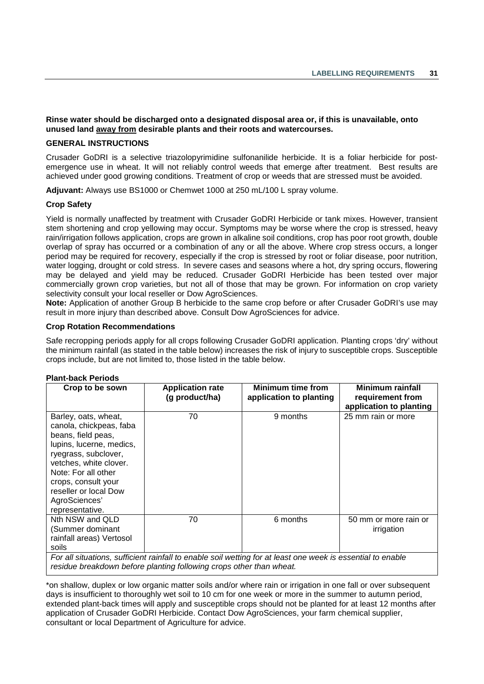**Rinse water should be discharged onto a designated disposal area or, if this is unavailable, onto unused land away from desirable plants and their roots and watercourses.**

### **GENERAL INSTRUCTIONS**

Crusader GoDRI is a selective triazolopyrimidine sulfonanilide herbicide. It is a foliar herbicide for postemergence use in wheat. It will not reliably control weeds that emerge after treatment. Best results are achieved under good growing conditions. Treatment of crop or weeds that are stressed must be avoided.

**Adjuvant:** Always use BS1000 or Chemwet 1000 at 250 mL/100 L spray volume.

### **Crop Safety**

Yield is normally unaffected by treatment with Crusader GoDRI Herbicide or tank mixes. However, transient stem shortening and crop yellowing may occur. Symptoms may be worse where the crop is stressed, heavy rain/irrigation follows application, crops are grown in alkaline soil conditions, crop has poor root growth, double overlap of spray has occurred or a combination of any or all the above. Where crop stress occurs, a longer period may be required for recovery, especially if the crop is stressed by root or foliar disease, poor nutrition, water logging, drought or cold stress. In severe cases and seasons where a hot, dry spring occurs, flowering may be delayed and yield may be reduced. Crusader GoDRI Herbicide has been tested over major commercially grown crop varieties, but not all of those that may be grown. For information on crop variety selectivity consult your local reseller or Dow AgroSciences.

**Note:** Application of another Group B herbicide to the same crop before or after Crusader GoDRI's use may result in more injury than described above. Consult Dow AgroSciences for advice.

### **Crop Rotation Recommendations**

Safe recropping periods apply for all crops following Crusader GoDRI application. Planting crops 'dry' without the minimum rainfall (as stated in the table below) increases the risk of injury to susceptible crops. Susceptible crops include, but are not limited to, those listed in the table below.

#### **Plant-back Periods**

| Crop to be sown                                                                                                                                                                                                                                                | <b>Application rate</b><br>(g product/ha) | <b>Minimum time from</b><br>application to planting | <b>Minimum rainfall</b><br>requirement from<br>application to planting |
|----------------------------------------------------------------------------------------------------------------------------------------------------------------------------------------------------------------------------------------------------------------|-------------------------------------------|-----------------------------------------------------|------------------------------------------------------------------------|
| Barley, oats, wheat,<br>canola, chickpeas, faba<br>beans, field peas,<br>lupins, lucerne, medics,<br>ryegrass, subclover,<br>vetches, white clover.<br>Note: For all other<br>crops, consult your<br>reseller or local Dow<br>AgroSciences'<br>representative. | 70                                        | 9 months                                            | 25 mm rain or more                                                     |
| Nth NSW and QLD<br>(Summer dominant<br>rainfall areas) Vertosol<br>soils                                                                                                                                                                                       | 70                                        | 6 months                                            | 50 mm or more rain or<br>irrigation                                    |
| For all situations, sufficient rainfall to enable soil wetting for at least one week is essential to enable<br>residue breakdown before planting following crops other than wheat                                                                              |                                           |                                                     |                                                                        |

*residue breakdown before planting following crops other than wheat.*

\*on shallow, duplex or low organic matter soils and/or where rain or irrigation in one fall or over subsequent days is insufficient to thoroughly wet soil to 10 cm for one week or more in the summer to autumn period, extended plant-back times will apply and susceptible crops should not be planted for at least 12 months after application of Crusader GoDRI Herbicide. Contact Dow AgroSciences, your farm chemical supplier, consultant or local Department of Agriculture for advice.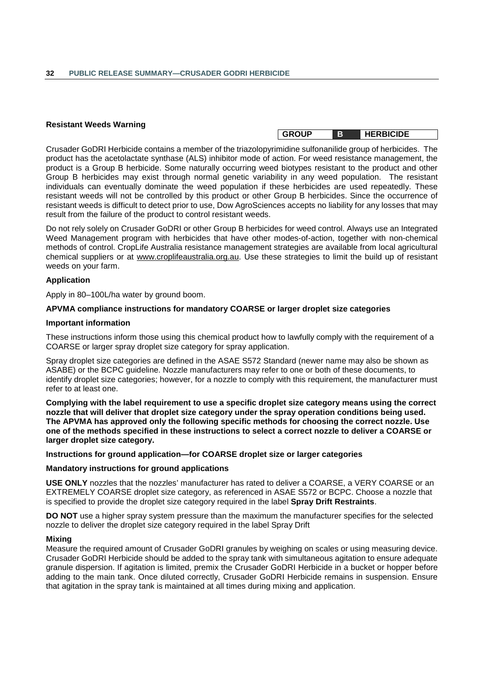### **Resistant Weeds Warning**

Crusader GoDRI Herbicide contains a member of the triazolopyrimidine sulfonanilide group of herbicides. The product has the acetolactate synthase (ALS) inhibitor mode of action. For weed resistance management, the product is a Group B herbicide. Some naturally occurring weed biotypes resistant to the product and other Group B herbicides may exist through normal genetic variability in any weed population. The resistant individuals can eventually dominate the weed population if these herbicides are used repeatedly. These resistant weeds will not be controlled by this product or other Group B herbicides. Since the occurrence of resistant weeds is difficult to detect prior to use, Dow AgroSciences accepts no liability for any losses that may result from the failure of the product to control resistant weeds.

Do not rely solely on Crusader GoDRI or other Group B herbicides for weed control. Always use an Integrated Weed Management program with herbicides that have other modes-of-action, together with non-chemical methods of control. CropLife Australia resistance management strategies are available from local agricultural chemical suppliers or at www.croplifeaustralia.org.au. Use these strategies to limit the build up of resistant weeds on your farm.

### **Application**

Apply in 80–100L/ha water by ground boom.

#### **APVMA compliance instructions for mandatory COARSE or larger droplet size categories**

#### **Important information**

These instructions inform those using this chemical product how to lawfully comply with the requirement of a COARSE or larger spray droplet size category for spray application.

Spray droplet size categories are defined in the ASAE S572 Standard (newer name may also be shown as ASABE) or the BCPC guideline. Nozzle manufacturers may refer to one or both of these documents, to identify droplet size categories; however, for a nozzle to comply with this requirement, the manufacturer must refer to at least one.

**Complying with the label requirement to use a specific droplet size category means using the correct nozzle that will deliver that droplet size category under the spray operation conditions being used. The APVMA has approved only the following specific methods for choosing the correct nozzle. Use one of the methods specified in these instructions to select a correct nozzle to deliver a COARSE or larger droplet size category.**

**Instructions for ground application—for COARSE droplet size or larger categories**

### **Mandatory instructions for ground applications**

**USE ONLY** nozzles that the nozzles' manufacturer has rated to deliver a COARSE, a VERY COARSE or an EXTREMELY COARSE droplet size category, as referenced in ASAE S572 or BCPC. Choose a nozzle that is specified to provide the droplet size category required in the label **Spray Drift Restraints**.

**DO NOT** use a higher spray system pressure than the maximum the manufacturer specifies for the selected nozzle to deliver the droplet size category required in the label Spray Drift

#### **Mixing**

Measure the required amount of Crusader GoDRI granules by weighing on scales or using measuring device. Crusader GoDRI Herbicide should be added to the spray tank with simultaneous agitation to ensure adequate granule dispersion. If agitation is limited, premix the Crusader GoDRI Herbicide in a bucket or hopper before adding to the main tank. Once diluted correctly, Crusader GoDRI Herbicide remains in suspension. Ensure that agitation in the spray tank is maintained at all times during mixing and application.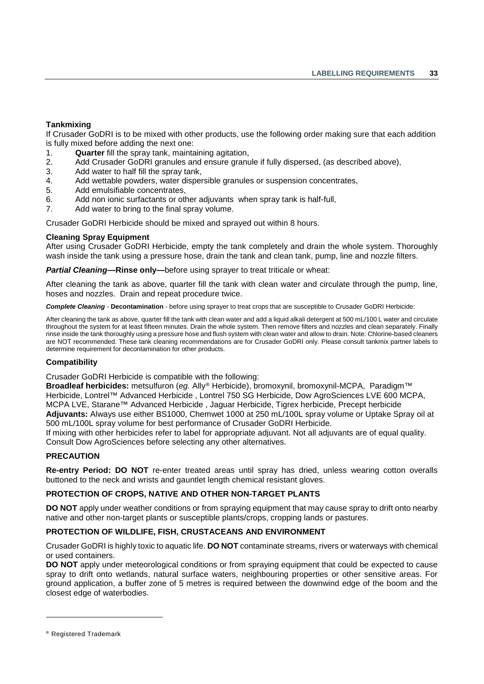### **Tankmixing**

If Crusader GoDRI is to be mixed with other products, use the following order making sure that each addition is fully mixed before adding the next one:

- 1. **Quarter** fill the spray tank, maintaining agitation,
- 2. Add Crusader GoDRI granules and ensure granule if fully dispersed, (as described above),
- 3. Add water to half fill the spray tank,
- 4. Add wettable powders, water dispersible granules or suspension concentrates,
- 5. Add emulsifiable concentrates,
- 6. Add non ionic surfactants or other adjuvants when spray tank is half-full,
- 7. Add water to bring to the final spray volume.

Crusader GoDRI Herbicide should be mixed and sprayed out within 8 hours.

### **Cleaning Spray Equipment**

After using Crusader GoDRI Herbicide, empty the tank completely and drain the whole system. Thoroughly wash inside the tank using a pressure hose, drain the tank and clean tank, pump, line and nozzle filters.

*Partial Cleaning—***Rinse only—**before using sprayer to treat triticale or wheat:

After cleaning the tank as above, quarter fill the tank with clean water and circulate through the pump, line, hoses and nozzles. Drain and repeat procedure twice.

*Complete Cleaning* - **Decontamination** - before using sprayer to treat crops that are susceptible to Crusader GoDRI Herbicide:

After cleaning the tank as above, quarter fill the tank with clean water and add a liquid alkali detergent at 500 mL/100 L water and circulate throughout the system for at least fifteen minutes. Drain the whole system. Then remove filters and nozzles and clean separately. Finally rinse inside the tank thoroughly using a pressure hose and flush system with clean water and allow to drain. Note: Chlorine-based cleaners are NOT recommended. These tank cleaning recommendations are for Crusader GoDRI only. Please consult tankmix partner labels to determine requirement for decontamination for other products.

### **Compatibility**

Crusader GoDRI Herbicide is compatible with the following:

**Broadleaf herbicides:** metsulfuron (*eg.* Ally[®](#page-40-0) Herbicide), bromoxynil, bromoxynil-MCPA, Paradigm™ Herbicide, Lontrel™ Advanced Herbicide , Lontrel 750 SG Herbicide, Dow AgroSciences LVE 600 MCPA, MCPA LVE, Starane™ Advanced Herbicide , Jaguar Herbicide, Tigrex herbicide, Precept herbicide **Adjuvants:** Always use either BS1000, Chemwet 1000 at 250 mL/100L spray volume or Uptake Spray oil at 500 mL/100L spray volume for best performance of Crusader GoDRI Herbicide.

If mixing with other herbicides refer to label for appropriate adjuvant. Not all adjuvants are of equal quality. Consult Dow AgroSciences before selecting any other alternatives.

### **PRECAUTION**

**Re-entry Period: DO NOT** re-enter treated areas until spray has dried, unless wearing cotton overalls buttoned to the neck and wrists and gauntlet length chemical resistant gloves.

### **PROTECTION OF CROPS, NATIVE AND OTHER NON-TARGET PLANTS**

**DO NOT** apply under weather conditions or from spraying equipment that may cause spray to drift onto nearby native and other non-target plants or susceptible plants/crops, cropping lands or pastures.

### **PROTECTION OF WILDLIFE, FISH, CRUSTACEANS AND ENVIRONMENT**

Crusader GoDRI is highly toxic to aquatic life. **DO NOT** contaminate streams, rivers or waterways with chemical or used containers.

**DO NOT** apply under meteorological conditions or from spraying equipment that could be expected to cause spray to drift onto wetlands, natural surface waters, neighbouring properties or other sensitive areas. For ground application, a buffer zone of 5 metres is required between the downwind edge of the boom and the closest edge of waterbodies.

-

<span id="page-40-0"></span><sup>®</sup> Registered Trademark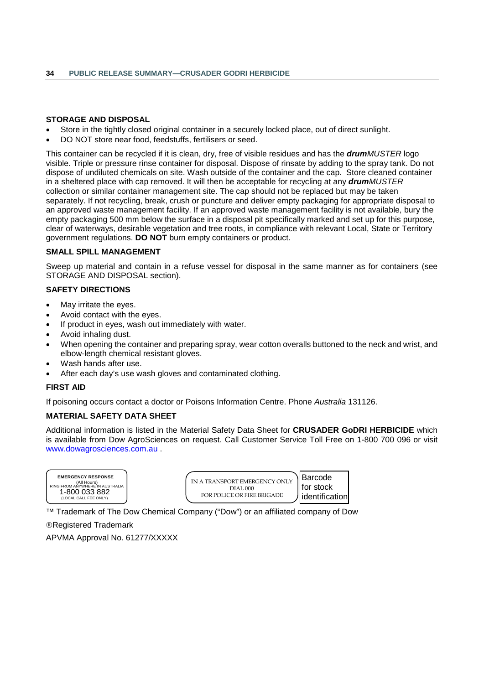### **STORAGE AND DISPOSAL**

- Store in the tightly closed original container in a securely locked place, out of direct sunlight.
- DO NOT store near food, feedstuffs, fertilisers or seed.

This container can be recycled if it is clean, dry, free of visible residues and has the *drumMUSTER* logo visible. Triple or pressure rinse container for disposal. Dispose of rinsate by adding to the spray tank. Do not dispose of undiluted chemicals on site. Wash outside of the container and the cap. Store cleaned container in a sheltered place with cap removed. It will then be acceptable for recycling at any *drumMUSTER*  collection or similar container management site. The cap should not be replaced but may be taken separately. If not recycling, break, crush or puncture and deliver empty packaging for appropriate disposal to an approved waste management facility. If an approved waste management facility is not available, bury the empty packaging 500 mm below the surface in a disposal pit specifically marked and set up for this purpose, clear of waterways, desirable vegetation and tree roots, in compliance with relevant Local, State or Territory government regulations. **DO NOT** burn empty containers or product.

#### **SMALL SPILL MANAGEMENT**

Sweep up material and contain in a refuse vessel for disposal in the same manner as for containers (see STORAGE AND DISPOSAL section).

### **SAFETY DIRECTIONS**

- May irritate the eyes.
- Avoid contact with the eyes.
- If product in eyes, wash out immediately with water.
- Avoid inhaling dust.
- When opening the container and preparing spray, wear cotton overalls buttoned to the neck and wrist, and elbow-length chemical resistant gloves.
- Wash hands after use.
- After each day's use wash gloves and contaminated clothing.

### **FIRST AID**

If poisoning occurs contact a doctor or Poisons Information Centre. Phone *Australia* 131126.

### **MATERIAL SAFETY DATA SHEET**

Additional information is listed in the Material Safety Data Sheet for **CRUSADER GoDRI HERBICIDE** which is available from Dow AgroSciences on request. Call Customer Service Toll Free on 1-800 700 096 or visit [www.dowagrosciences.com.au](http://www.dowagrosciences.com.au/) .



| IN A TRANSPORT EMERGENCY ONLY | \ Barcode              |
|-------------------------------|------------------------|
| DIAL000                       | for stock              |
| FOR POLICE OR FIRE BRIGADE    | <b>Jidentification</b> |

™ Trademark of The Dow Chemical Company ("Dow") or an affiliated company of Dow

Registered Trademark

APVMA Approval No. 61277/XXXXX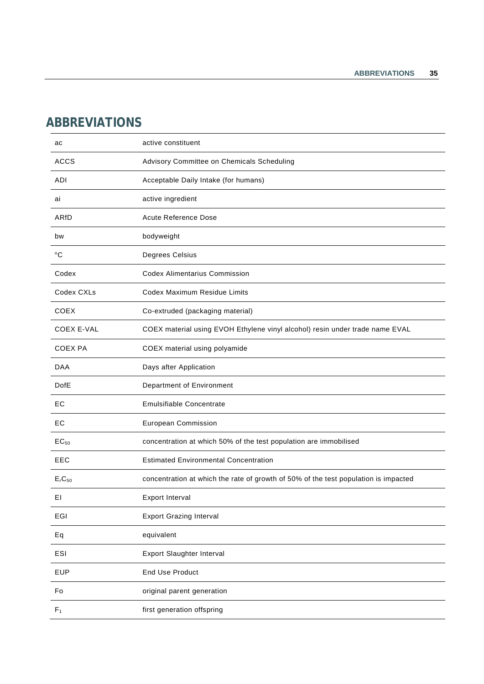# <span id="page-42-0"></span>**ABBREVIATIONS**

| ac                             | active constituent                                                                  |
|--------------------------------|-------------------------------------------------------------------------------------|
| <b>ACCS</b>                    | Advisory Committee on Chemicals Scheduling                                          |
| ADI                            | Acceptable Daily Intake (for humans)                                                |
| ai                             | active ingredient                                                                   |
| ARfD                           | <b>Acute Reference Dose</b>                                                         |
| bw                             | bodyweight                                                                          |
| $^{\mathrm{o}}\mathrm{C}$      | Degrees Celsius                                                                     |
| Codex                          | <b>Codex Alimentarius Commission</b>                                                |
| Codex CXLs                     | Codex Maximum Residue Limits                                                        |
| <b>COEX</b>                    | Co-extruded (packaging material)                                                    |
| <b>COEX E-VAL</b>              | COEX material using EVOH Ethylene vinyl alcohol) resin under trade name EVAL        |
| <b>COEX PA</b>                 | COEX material using polyamide                                                       |
| <b>DAA</b>                     | Days after Application                                                              |
|                                |                                                                                     |
| <b>DofE</b>                    | Department of Environment                                                           |
| ЕC                             | <b>Emulsifiable Concentrate</b>                                                     |
| EC                             | European Commission                                                                 |
| $EC_{50}$                      | concentration at which 50% of the test population are immobilised                   |
| EEC                            | <b>Estimated Environmental Concentration</b>                                        |
| E <sub>r</sub> C <sub>50</sub> | concentration at which the rate of growth of 50% of the test population is impacted |
| ΕL                             | Export Interval                                                                     |
| EGI                            | <b>Export Grazing Interval</b>                                                      |
| Eq                             | equivalent                                                                          |
| ESI                            | <b>Export Slaughter Interval</b>                                                    |
| <b>EUP</b>                     | <b>End Use Product</b>                                                              |
| Fo                             | original parent generation                                                          |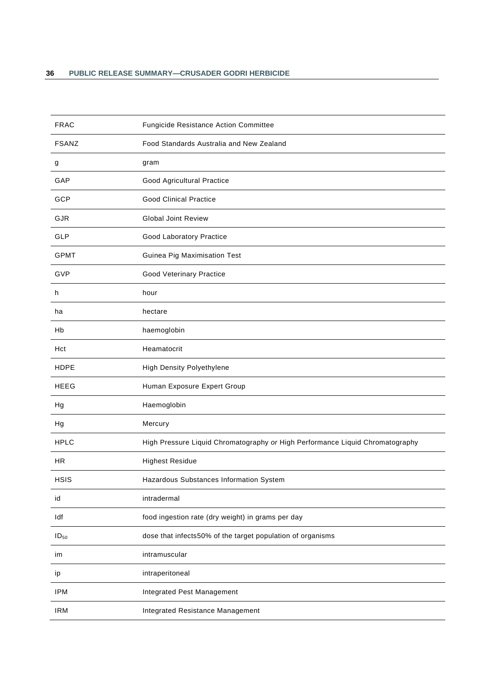| <b>FRAC</b>  | <b>Fungicide Resistance Action Committee</b>                                  |
|--------------|-------------------------------------------------------------------------------|
| <b>FSANZ</b> | Food Standards Australia and New Zealand                                      |
| g            | gram                                                                          |
| GAP          | Good Agricultural Practice                                                    |
| GCP          | <b>Good Clinical Practice</b>                                                 |
| <b>GJR</b>   | <b>Global Joint Review</b>                                                    |
| <b>GLP</b>   | Good Laboratory Practice                                                      |
| <b>GPMT</b>  | Guinea Pig Maximisation Test                                                  |
| GVP          | Good Veterinary Practice                                                      |
| h            | hour                                                                          |
| ha           | hectare                                                                       |
| Hb           | haemoglobin                                                                   |
| Hct          | Heamatocrit                                                                   |
| <b>HDPE</b>  | High Density Polyethylene                                                     |
| <b>HEEG</b>  | Human Exposure Expert Group                                                   |
| Hg           | Haemoglobin                                                                   |
| Hg           | Mercury                                                                       |
| <b>HPLC</b>  | High Pressure Liquid Chromatography or High Performance Liquid Chromatography |
| <b>HR</b>    | <b>Highest Residue</b>                                                        |
| <b>HSIS</b>  | Hazardous Substances Information System                                       |
| id           | intradermal                                                                   |
| Idf          | food ingestion rate (dry weight) in grams per day                             |
| $ID_{50}$    | dose that infects50% of the target population of organisms                    |
| im           | intramuscular                                                                 |
| ip           | intraperitoneal                                                               |
| <b>IPM</b>   | Integrated Pest Management                                                    |
| <b>IRM</b>   | Integrated Resistance Management                                              |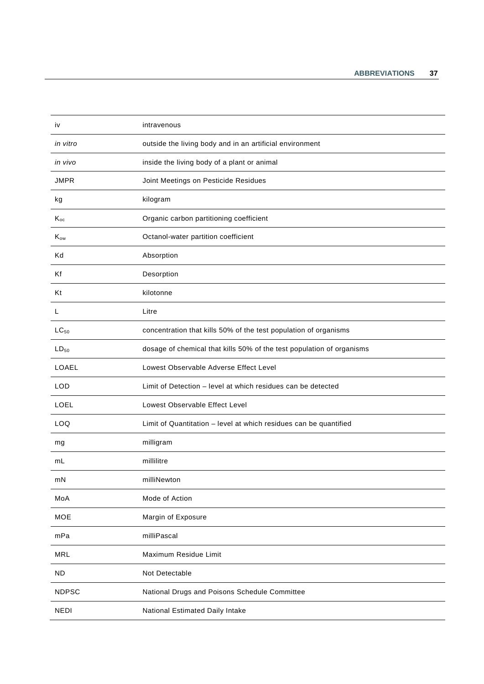| iv              | intravenous                                                           |
|-----------------|-----------------------------------------------------------------------|
| in vitro        | outside the living body and in an artificial environment              |
| in vivo         | inside the living body of a plant or animal                           |
| <b>JMPR</b>     | Joint Meetings on Pesticide Residues                                  |
| kg              | kilogram                                                              |
| $K_{oc}$        | Organic carbon partitioning coefficient                               |
| K <sub>ow</sub> | Octanol-water partition coefficient                                   |
| Kd              | Absorption                                                            |
| Kf              | Desorption                                                            |
| Κt              | kilotonne                                                             |
| L               | Litre                                                                 |
| $LC_{50}$       | concentration that kills 50% of the test population of organisms      |
| $LD_{50}$       | dosage of chemical that kills 50% of the test population of organisms |
| LOAEL           | Lowest Observable Adverse Effect Level                                |
| <b>LOD</b>      | Limit of Detection - level at which residues can be detected          |
| LOEL            | Lowest Observable Effect Level                                        |
| LOQ             | Limit of Quantitation - level at which residues can be quantified     |
| mg              | milligram                                                             |
| mL              | millilitre                                                            |
| mN              | milliNewton                                                           |
| MoA             | Mode of Action                                                        |
| <b>MOE</b>      | Margin of Exposure                                                    |
| mPa             | milliPascal                                                           |
| <b>MRL</b>      | Maximum Residue Limit                                                 |
| <b>ND</b>       | Not Detectable                                                        |
| <b>NDPSC</b>    | National Drugs and Poisons Schedule Committee                         |
| <b>NEDI</b>     | National Estimated Daily Intake                                       |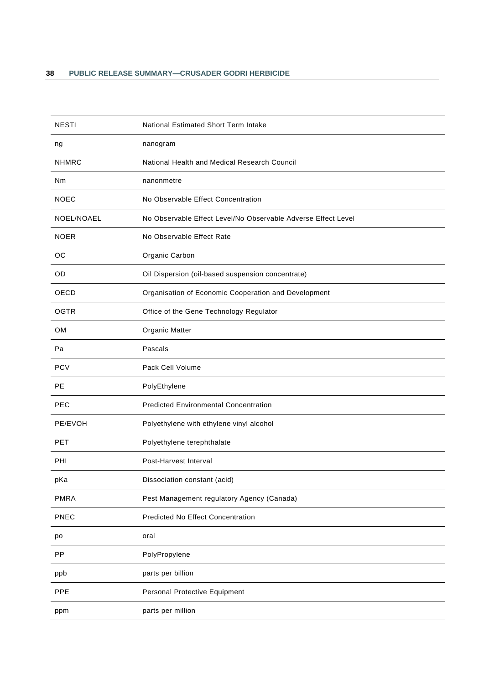| <b>NESTI</b> | National Estimated Short Term Intake                          |
|--------------|---------------------------------------------------------------|
| ng           | nanogram                                                      |
| <b>NHMRC</b> | National Health and Medical Research Council                  |
| Nm           | nanonmetre                                                    |
| <b>NOEC</b>  | No Observable Effect Concentration                            |
| NOEL/NOAEL   | No Observable Effect Level/No Observable Adverse Effect Level |
| <b>NOER</b>  | No Observable Effect Rate                                     |
| ОC           | Organic Carbon                                                |
| OD           | Oil Dispersion (oil-based suspension concentrate)             |
| OECD         | Organisation of Economic Cooperation and Development          |
| <b>OGTR</b>  | Office of the Gene Technology Regulator                       |
| <b>OM</b>    | Organic Matter                                                |
| Pa           | Pascals                                                       |
| <b>PCV</b>   | Pack Cell Volume                                              |
| <b>PE</b>    | PolyEthylene                                                  |
| PEC          | <b>Predicted Environmental Concentration</b>                  |
| PE/EVOH      | Polyethylene with ethylene vinyl alcohol                      |
| <b>PET</b>   | Polyethylene terephthalate                                    |
| <b>PHI</b>   | Post-Harvest Interval                                         |
| pKa          | Dissociation constant (acid)                                  |
| <b>PMRA</b>  | Pest Management regulatory Agency (Canada)                    |
| PNEC         | <b>Predicted No Effect Concentration</b>                      |
| po           | oral                                                          |
| PP           | PolyPropylene                                                 |
| ppb          | parts per billion                                             |
| PPE          | Personal Protective Equipment                                 |
| ppm          | parts per million                                             |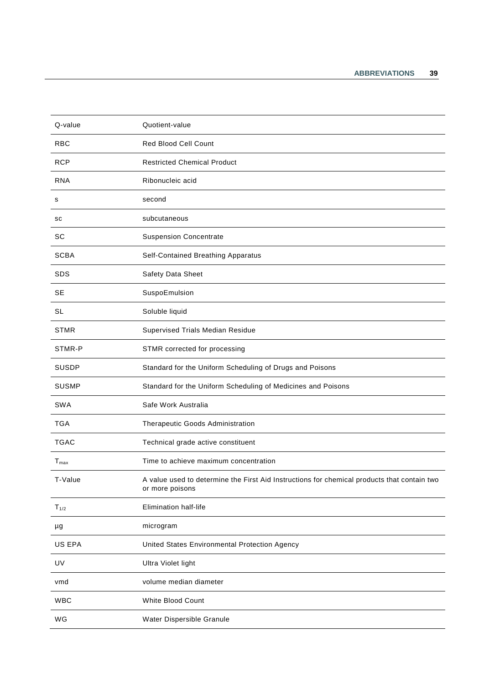| Q-value          | Quotient-value                                                                                                 |
|------------------|----------------------------------------------------------------------------------------------------------------|
| <b>RBC</b>       | Red Blood Cell Count                                                                                           |
| <b>RCP</b>       | <b>Restricted Chemical Product</b>                                                                             |
| <b>RNA</b>       | Ribonucleic acid                                                                                               |
| s                | second                                                                                                         |
| sc               | subcutaneous                                                                                                   |
| SC               | <b>Suspension Concentrate</b>                                                                                  |
| <b>SCBA</b>      | Self-Contained Breathing Apparatus                                                                             |
| <b>SDS</b>       | Safety Data Sheet                                                                                              |
| <b>SE</b>        | SuspoEmulsion                                                                                                  |
| <b>SL</b>        | Soluble liquid                                                                                                 |
| <b>STMR</b>      | <b>Supervised Trials Median Residue</b>                                                                        |
| STMR-P           | STMR corrected for processing                                                                                  |
| <b>SUSDP</b>     | Standard for the Uniform Scheduling of Drugs and Poisons                                                       |
| <b>SUSMP</b>     | Standard for the Uniform Scheduling of Medicines and Poisons                                                   |
| SWA              | Safe Work Australia                                                                                            |
| <b>TGA</b>       | Therapeutic Goods Administration                                                                               |
| <b>TGAC</b>      | Technical grade active constituent                                                                             |
| $T_{\text{max}}$ | Time to achieve maximum concentration                                                                          |
| T-Value          | A value used to determine the First Aid Instructions for chemical products that contain two<br>or more poisons |
| $T_{1/2}$        | Elimination half-life                                                                                          |
| μg               | microgram                                                                                                      |
| US EPA           | United States Environmental Protection Agency                                                                  |
| UV               | Ultra Violet light                                                                                             |
| vmd              | volume median diameter                                                                                         |
| <b>WBC</b>       | White Blood Count                                                                                              |
| WG               | Water Dispersible Granule                                                                                      |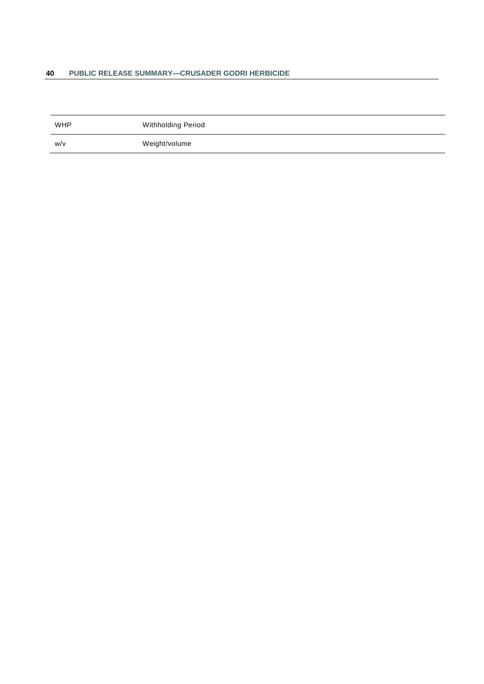### **40 PUBLIC RELEASE SUMMARY—CRUSADER GODRI HERBICIDE**

| <b>WHP</b> | Withholding Period |
|------------|--------------------|
| W/v        | Weight/volume      |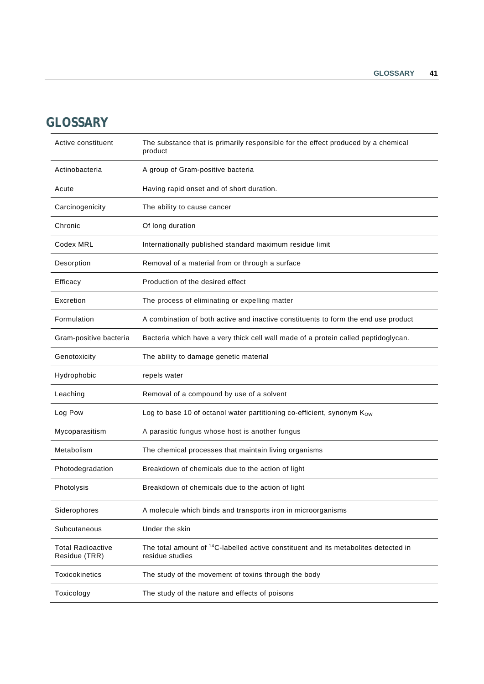# <span id="page-48-0"></span>**GLOSSARY**

| Active constituent                        | The substance that is primarily responsible for the effect produced by a chemical<br>product                       |
|-------------------------------------------|--------------------------------------------------------------------------------------------------------------------|
| Actinobacteria                            | A group of Gram-positive bacteria                                                                                  |
| Acute                                     | Having rapid onset and of short duration.                                                                          |
| Carcinogenicity                           | The ability to cause cancer                                                                                        |
| Chronic                                   | Of long duration                                                                                                   |
| Codex MRL                                 | Internationally published standard maximum residue limit                                                           |
| Desorption                                | Removal of a material from or through a surface                                                                    |
| Efficacy                                  | Production of the desired effect                                                                                   |
| Excretion                                 | The process of eliminating or expelling matter                                                                     |
| Formulation                               | A combination of both active and inactive constituents to form the end use product                                 |
| Gram-positive bacteria                    | Bacteria which have a very thick cell wall made of a protein called peptidoglycan.                                 |
| Genotoxicity                              | The ability to damage genetic material                                                                             |
|                                           |                                                                                                                    |
| Hydrophobic                               | repels water                                                                                                       |
| Leaching                                  | Removal of a compound by use of a solvent                                                                          |
| Log Pow                                   | Log to base 10 of octanol water partitioning co-efficient, synonym Kow                                             |
| Mycoparasitism                            | A parasitic fungus whose host is another fungus                                                                    |
| Metabolism                                | The chemical processes that maintain living organisms                                                              |
| Photodegradation                          | Breakdown of chemicals due to the action of light                                                                  |
| Photolysis                                | Breakdown of chemicals due to the action of light                                                                  |
| Siderophores                              | A molecule which binds and transports iron in microorganisms                                                       |
| Subcutaneous                              | Under the skin                                                                                                     |
| <b>Total Radioactive</b><br>Residue (TRR) | The total amount of <sup>14</sup> C-labelled active constituent and its metabolites detected in<br>residue studies |
| Toxicokinetics                            | The study of the movement of toxins through the body                                                               |